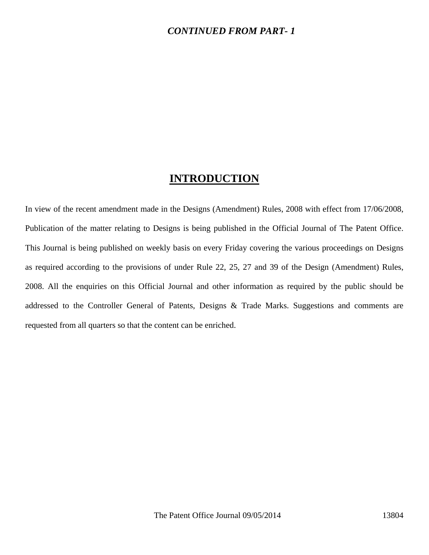### *CONTINUED FROM PART- 1*

## **INTRODUCTION**

In view of the recent amendment made in the Designs (Amendment) Rules, 2008 with effect from 17/06/2008, Publication of the matter relating to Designs is being published in the Official Journal of The Patent Office. This Journal is being published on weekly basis on every Friday covering the various proceedings on Designs as required according to the provisions of under Rule 22, 25, 27 and 39 of the Design (Amendment) Rules, 2008. All the enquiries on this Official Journal and other information as required by the public should be addressed to the Controller General of Patents, Designs & Trade Marks. Suggestions and comments are requested from all quarters so that the content can be enriched.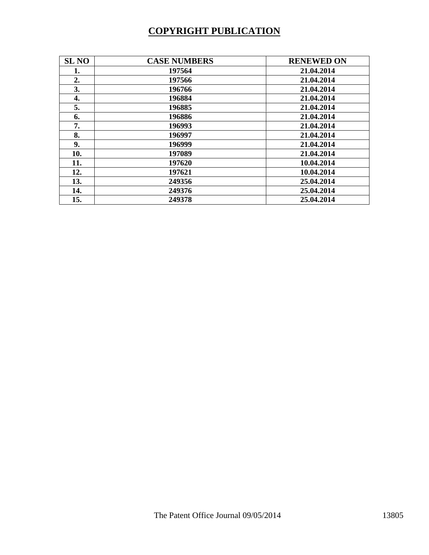# **COPYRIGHT PUBLICATION**

| <b>SL NO</b> | <b>CASE NUMBERS</b> | <b>RENEWED ON</b> |
|--------------|---------------------|-------------------|
| 1.           | 197564              | 21.04.2014        |
| 2.           | 197566              | 21.04.2014        |
| 3.           | 196766              | 21.04.2014        |
| 4.           | 196884              | 21.04.2014        |
| 5.           | 196885              | 21.04.2014        |
| 6.           | 196886              | 21.04.2014        |
| 7.           | 196993              | 21.04.2014        |
| 8.           | 196997              | 21.04.2014        |
| 9.           | 196999              | 21.04.2014        |
| 10.          | 197089              | 21.04.2014        |
| 11.          | 197620              | 10.04.2014        |
| 12.          | 197621              | 10.04.2014        |
| 13.          | 249356              | 25.04.2014        |
| 14.          | 249376              | 25.04.2014        |
| 15.          | 249378              | 25.04.2014        |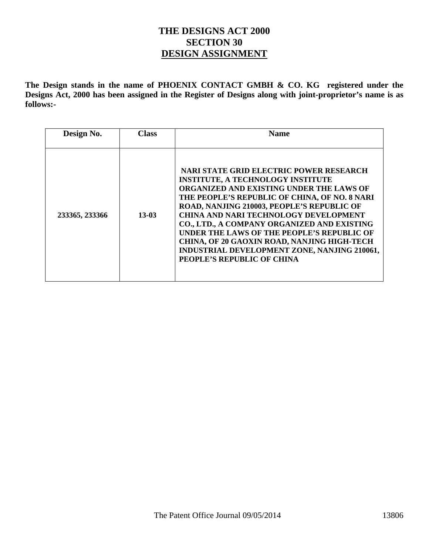## **THE DESIGNS ACT 2000 SECTION 30 DESIGN ASSIGNMENT**

**The Design stands in the name of PHOENIX CONTACT GMBH & CO. KG registered under the Designs Act, 2000 has been assigned in the Register of Designs along with joint-proprietor's name is as follows:-** 

| Design No.     | <b>Class</b> | <b>Name</b>                                                                                                                                                                                                                                                                                                                                                                                                                                                                                                            |
|----------------|--------------|------------------------------------------------------------------------------------------------------------------------------------------------------------------------------------------------------------------------------------------------------------------------------------------------------------------------------------------------------------------------------------------------------------------------------------------------------------------------------------------------------------------------|
| 233365, 233366 | 13-03        | <b>NARI STATE GRID ELECTRIC POWER RESEARCH</b><br><b>INSTITUTE, A TECHNOLOGY INSTITUTE</b><br>ORGANIZED AND EXISTING UNDER THE LAWS OF<br>THE PEOPLE'S REPUBLIC OF CHINA, OF NO. 8 NARI<br>ROAD, NANJING 210003, PEOPLE'S REPUBLIC OF<br><b>CHINA AND NARI TECHNOLOGY DEVELOPMENT</b><br>CO., LTD., A COMPANY ORGANIZED AND EXISTING<br>UNDER THE LAWS OF THE PEOPLE'S REPUBLIC OF<br>CHINA, OF 20 GAOXIN ROAD, NANJING HIGH-TECH<br><b>INDUSTRIAL DEVELOPMENT ZONE, NANJING 210061,</b><br>PEOPLE'S REPUBLIC OF CHINA |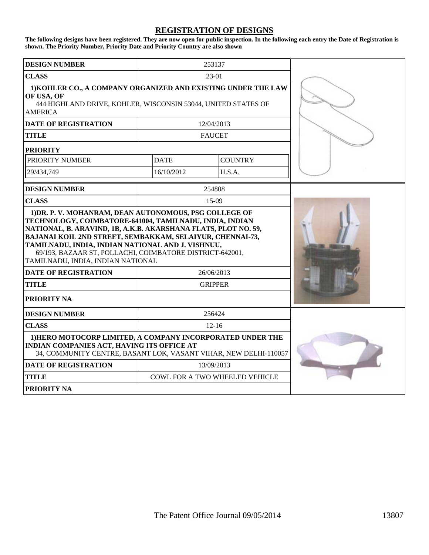#### **REGISTRATION OF DESIGNS**

**The following designs have been registered. They are now open for public inspection. In the following each entry the Date of Registration is shown. The Priority Number, Priority Date and Priority Country are also shown**

| 253137<br><b>DESIGN NUMBER</b>                                                                                                                                                                                                                                                                                                               |                                |                |  |
|----------------------------------------------------------------------------------------------------------------------------------------------------------------------------------------------------------------------------------------------------------------------------------------------------------------------------------------------|--------------------------------|----------------|--|
| <b>CLASS</b><br>23-01                                                                                                                                                                                                                                                                                                                        |                                |                |  |
| 1) KOHLER CO., A COMPANY ORGANIZED AND EXISTING UNDER THE LAW<br>OF USA, OF<br>444 HIGHLAND DRIVE, KOHLER, WISCONSIN 53044, UNITED STATES OF<br><b>AMERICA</b>                                                                                                                                                                               |                                |                |  |
| <b>DATE OF REGISTRATION</b>                                                                                                                                                                                                                                                                                                                  | 12/04/2013                     |                |  |
| <b>TITLE</b>                                                                                                                                                                                                                                                                                                                                 | <b>FAUCET</b>                  |                |  |
| <b>PRIORITY</b>                                                                                                                                                                                                                                                                                                                              |                                |                |  |
| PRIORITY NUMBER                                                                                                                                                                                                                                                                                                                              | <b>DATE</b>                    | <b>COUNTRY</b> |  |
| 29/434,749                                                                                                                                                                                                                                                                                                                                   | 16/10/2012                     | U.S.A.         |  |
| <b>DESIGN NUMBER</b>                                                                                                                                                                                                                                                                                                                         | 254808                         |                |  |
| <b>CLASS</b>                                                                                                                                                                                                                                                                                                                                 | $15-09$                        |                |  |
| TECHNOLOGY, COIMBATORE-641004, TAMILNADU, INDIA, INDIAN<br>NATIONAL, B. ARAVIND, 1B, A.K.B. AKARSHANA FLATS, PLOT NO. 59,<br>BAJANAI KOIL 2ND STREET, SEMBAKKAM, SELAIYUR, CHENNAI-73,<br>TAMILNADU, INDIA, INDIAN NATIONAL AND J. VISHNUU,<br>69/193, BAZAAR ST, POLLACHI, COIMBATORE DISTRICT-642001,<br>TAMILNADU, INDIA, INDIAN NATIONAL |                                |                |  |
| <b>DATE OF REGISTRATION</b>                                                                                                                                                                                                                                                                                                                  | 26/06/2013                     |                |  |
| <b>TITLE</b>                                                                                                                                                                                                                                                                                                                                 | <b>GRIPPER</b>                 |                |  |
| <b>PRIORITY NA</b>                                                                                                                                                                                                                                                                                                                           |                                |                |  |
| <b>DESIGN NUMBER</b>                                                                                                                                                                                                                                                                                                                         | 256424                         |                |  |
| <b>CLASS</b>                                                                                                                                                                                                                                                                                                                                 |                                |                |  |
| 1) HERO MOTOCORP LIMITED, A COMPANY INCORPORATED UNDER THE<br>INDIAN COMPANIES ACT, HAVING ITS OFFICE AT<br>34, COMMUNITY CENTRE, BASANT LOK, VASANT VIHAR, NEW DELHI-110057                                                                                                                                                                 |                                |                |  |
| <b>DATE OF REGISTRATION</b>                                                                                                                                                                                                                                                                                                                  | 13/09/2013                     |                |  |
| <b>TITLE</b>                                                                                                                                                                                                                                                                                                                                 | COWL FOR A TWO WHEELED VEHICLE |                |  |
| <b>PRIORITY NA</b>                                                                                                                                                                                                                                                                                                                           |                                |                |  |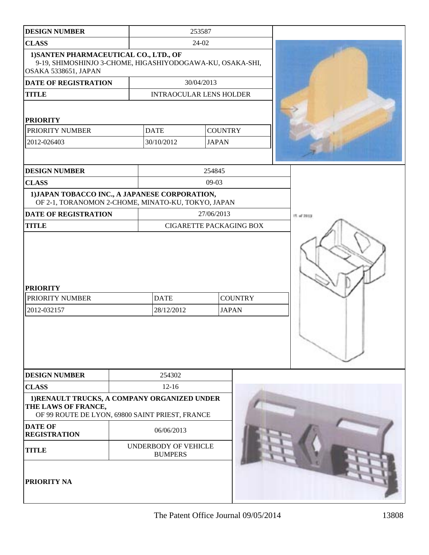| <b>DESIGN NUMBER</b>                                                                                                        |                                                             | 253587                                 |            |                                |             |
|-----------------------------------------------------------------------------------------------------------------------------|-------------------------------------------------------------|----------------------------------------|------------|--------------------------------|-------------|
| <b>CLASS</b>                                                                                                                |                                                             | 24-02                                  |            |                                |             |
| 1) SANTEN PHARMACEUTICAL CO., LTD., OF<br>9-19, SHIMOSHINJO 3-CHOME, HIGASHIYODOGAWA-KU, OSAKA-SHI,<br>OSAKA 5338651, JAPAN |                                                             |                                        |            |                                |             |
| <b>DATE OF REGISTRATION</b>                                                                                                 | 30/04/2013                                                  |                                        |            |                                |             |
| <b>TITLE</b>                                                                                                                |                                                             | <b>INTRAOCULAR LENS HOLDER</b>         |            |                                |             |
| <b>PRIORITY</b><br>PRIORITY NUMBER<br>2012-026403                                                                           | <b>DATE</b><br><b>COUNTRY</b><br>30/10/2012<br><b>JAPAN</b> |                                        |            |                                |             |
| <b>DESIGN NUMBER</b>                                                                                                        |                                                             |                                        | 254845     |                                |             |
| <b>CLASS</b>                                                                                                                |                                                             |                                        | $09-03$    |                                |             |
| 1) JAPAN TOBACCO INC., A JAPANESE CORPORATION,<br>OF 2-1, TORANOMON 2-CHOME, MINATO-KU, TOKYO, JAPAN                        |                                                             |                                        |            |                                |             |
| DATE OF REGISTRATION                                                                                                        |                                                             |                                        | 27/06/2013 |                                | 15. of 2013 |
| <b>TITLE</b>                                                                                                                |                                                             | CIGARETTE PACKAGING BOX                |            |                                |             |
| <b>PRIORITY</b><br>PRIORITY NUMBER<br>2012-032157                                                                           |                                                             | <b>DATE</b><br>28/12/2012              |            | <b>COUNTRY</b><br><b>JAPAN</b> |             |
| <b>DESIGN NUMBER</b>                                                                                                        |                                                             | 254302                                 |            |                                |             |
| <b>CLASS</b>                                                                                                                |                                                             | $12 - 16$                              |            |                                |             |
| 1) RENAULT TRUCKS, A COMPANY ORGANIZED UNDER<br>THE LAWS OF FRANCE,<br>OF 99 ROUTE DE LYON, 69800 SAINT PRIEST, FRANCE      |                                                             |                                        |            |                                |             |
| <b>DATE OF</b><br><b>REGISTRATION</b>                                                                                       |                                                             | 06/06/2013                             |            |                                |             |
| <b>TITLE</b>                                                                                                                |                                                             | UNDERBODY OF VEHICLE<br><b>BUMPERS</b> |            |                                |             |
| PRIORITY NA                                                                                                                 |                                                             |                                        |            |                                |             |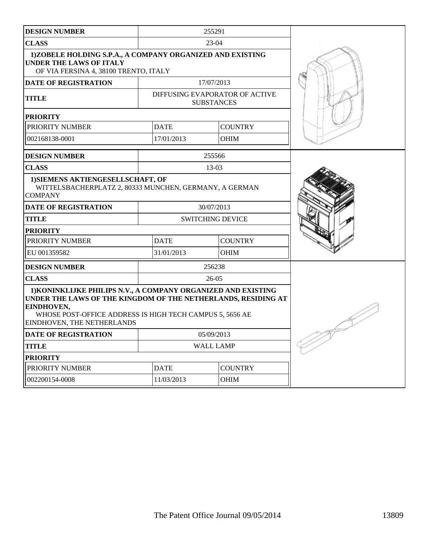| <b>DESIGN NUMBER</b>                                                                                                                                                                                                                   |             | 255291                                              |  |
|----------------------------------------------------------------------------------------------------------------------------------------------------------------------------------------------------------------------------------------|-------------|-----------------------------------------------------|--|
| <b>CLASS</b>                                                                                                                                                                                                                           |             |                                                     |  |
| 1)ZOBELE HOLDING S.P.A., A COMPANY ORGANIZED AND EXISTING<br><b>UNDER THE LAWS OF ITALY</b><br>OF VIA FERSINA 4, 38100 TRENTO, ITALY                                                                                                   |             |                                                     |  |
| <b>DATE OF REGISTRATION</b>                                                                                                                                                                                                            |             | 17/07/2013                                          |  |
| <b>TITLE</b>                                                                                                                                                                                                                           |             | DIFFUSING EVAPORATOR OF ACTIVE<br><b>SUBSTANCES</b> |  |
| <b>PRIORITY</b>                                                                                                                                                                                                                        |             |                                                     |  |
| PRIORITY NUMBER                                                                                                                                                                                                                        | <b>DATE</b> | <b>COUNTRY</b>                                      |  |
| 002168138-0001                                                                                                                                                                                                                         | 17/01/2013  | <b>OHIM</b>                                         |  |
| <b>DESIGN NUMBER</b>                                                                                                                                                                                                                   |             | 255566                                              |  |
| <b>CLASS</b>                                                                                                                                                                                                                           |             | 13-03                                               |  |
| 1) SIEMENS AKTIENGESELLSCHAFT, OF<br>WITTELSBACHERPLATZ 2, 80333 MUNCHEN, GERMANY, A GERMAN<br><b>COMPANY</b>                                                                                                                          |             |                                                     |  |
| <b>DATE OF REGISTRATION</b>                                                                                                                                                                                                            |             | 30/07/2013                                          |  |
| TITLE                                                                                                                                                                                                                                  |             | <b>SWITCHING DEVICE</b>                             |  |
| <b>PRIORITY</b>                                                                                                                                                                                                                        |             |                                                     |  |
| PRIORITY NUMBER                                                                                                                                                                                                                        | <b>DATE</b> | <b>COUNTRY</b>                                      |  |
| EU 001359582                                                                                                                                                                                                                           | 31/01/2013  | <b>OHIM</b>                                         |  |
| <b>DESIGN NUMBER</b>                                                                                                                                                                                                                   |             | 256238                                              |  |
| <b>CLASS</b>                                                                                                                                                                                                                           |             | $26-05$                                             |  |
| 1) KONINKLIJKE PHILIPS N.V., A COMPANY ORGANIZED AND EXISTING<br>UNDER THE LAWS OF THE KINGDOM OF THE NETHERLANDS, RESIDING AT<br>EINDHOVEN,<br>WHOSE POST-OFFICE ADDRESS IS HIGH TECH CAMPUS 5, 5656 AE<br>EINDHOVEN, THE NETHERLANDS |             |                                                     |  |
| <b>DATE OF REGISTRATION</b>                                                                                                                                                                                                            |             | 05/09/2013                                          |  |
| <b>TITLE</b><br><b>WALL LAMP</b>                                                                                                                                                                                                       |             |                                                     |  |
| <b>PRIORITY</b>                                                                                                                                                                                                                        |             |                                                     |  |
| PRIORITY NUMBER                                                                                                                                                                                                                        | <b>DATE</b> | <b>COUNTRY</b>                                      |  |
| 002200154-0008                                                                                                                                                                                                                         | 11/03/2013  | <b>OHIM</b>                                         |  |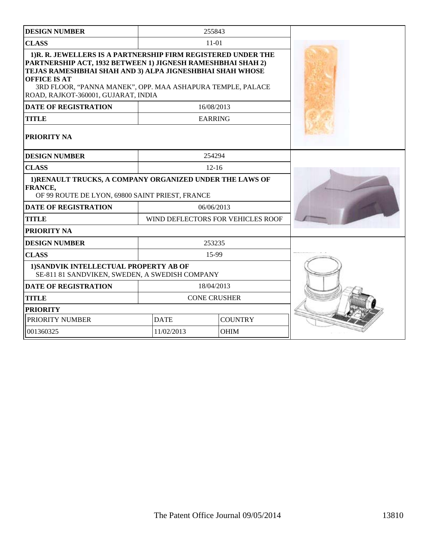| <b>DESIGN NUMBER</b>                                                                                                                                                                                                                                                                                                |                                   | 255843         |  |
|---------------------------------------------------------------------------------------------------------------------------------------------------------------------------------------------------------------------------------------------------------------------------------------------------------------------|-----------------------------------|----------------|--|
| <b>CLASS</b>                                                                                                                                                                                                                                                                                                        | $11 - 01$                         |                |  |
| 1)R. R. JEWELLERS IS A PARTNERSHIP FIRM REGISTERED UNDER THE<br>PARTNERSHIP ACT, 1932 BETWEEN 1) JIGNESH RAMESHBHAI SHAH 2)<br>TEJAS RAMESHBHAI SHAH AND 3) ALPA JIGNESHBHAI SHAH WHOSE<br><b>OFFICE IS AT</b><br>3RD FLOOR, "PANNA MANEK", OPP. MAA ASHAPURA TEMPLE, PALACE<br>ROAD, RAJKOT-360001, GUJARAT, INDIA |                                   |                |  |
| <b>DATE OF REGISTRATION</b>                                                                                                                                                                                                                                                                                         |                                   | 16/08/2013     |  |
| <b>TITLE</b>                                                                                                                                                                                                                                                                                                        |                                   | <b>EARRING</b> |  |
| <b>PRIORITY NA</b>                                                                                                                                                                                                                                                                                                  |                                   |                |  |
| <b>DESIGN NUMBER</b>                                                                                                                                                                                                                                                                                                |                                   | 254294         |  |
| <b>CLASS</b>                                                                                                                                                                                                                                                                                                        |                                   | $12 - 16$      |  |
| 1) RENAULT TRUCKS, A COMPANY ORGANIZED UNDER THE LAWS OF<br>FRANCE,<br>OF 99 ROUTE DE LYON, 69800 SAINT PRIEST, FRANCE                                                                                                                                                                                              |                                   |                |  |
| <b>DATE OF REGISTRATION</b>                                                                                                                                                                                                                                                                                         |                                   | 06/06/2013     |  |
| <b>TITLE</b>                                                                                                                                                                                                                                                                                                        | WIND DEFLECTORS FOR VEHICLES ROOF |                |  |
| PRIORITY NA                                                                                                                                                                                                                                                                                                         |                                   |                |  |
| <b>DESIGN NUMBER</b>                                                                                                                                                                                                                                                                                                |                                   | 253235         |  |
| <b>CLASS</b>                                                                                                                                                                                                                                                                                                        |                                   | 15-99          |  |
| 1) SANDVIK INTELLECTUAL PROPERTY AB OF<br>SE-811 81 SANDVIKEN, SWEDEN, A SWEDISH COMPANY                                                                                                                                                                                                                            |                                   |                |  |
| <b>DATE OF REGISTRATION</b>                                                                                                                                                                                                                                                                                         | 18/04/2013                        |                |  |
| <b>TITLE</b>                                                                                                                                                                                                                                                                                                        | <b>CONE CRUSHER</b>               |                |  |
| <b>PRIORITY</b>                                                                                                                                                                                                                                                                                                     |                                   |                |  |
| PRIORITY NUMBER                                                                                                                                                                                                                                                                                                     | <b>DATE</b>                       | <b>COUNTRY</b> |  |
| 001360325                                                                                                                                                                                                                                                                                                           | 11/02/2013                        | <b>OHIM</b>    |  |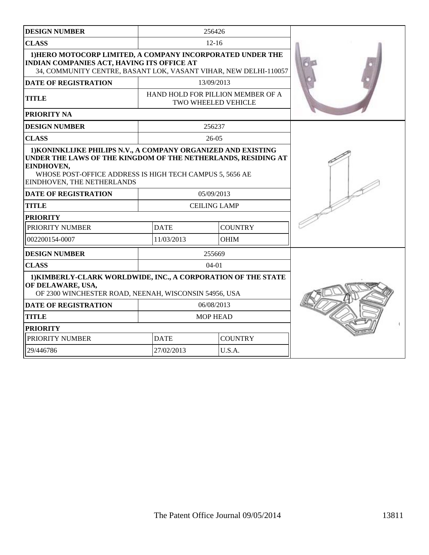| 256426<br><b>DESIGN NUMBER</b>                                                                                                                                                                                                         |                                                          |                     |  |
|----------------------------------------------------------------------------------------------------------------------------------------------------------------------------------------------------------------------------------------|----------------------------------------------------------|---------------------|--|
| <b>CLASS</b><br>$12 - 16$                                                                                                                                                                                                              |                                                          |                     |  |
| 1) HERO MOTOCORP LIMITED, A COMPANY INCORPORATED UNDER THE<br><b>INDIAN COMPANIES ACT, HAVING ITS OFFICE AT</b><br>34, COMMUNITY CENTRE, BASANT LOK, VASANT VIHAR, NEW DELHI-110057                                                    |                                                          |                     |  |
| <b>DATE OF REGISTRATION</b>                                                                                                                                                                                                            |                                                          | 13/09/2013          |  |
| <b>TITLE</b>                                                                                                                                                                                                                           | HAND HOLD FOR PILLION MEMBER OF A<br>TWO WHEELED VEHICLE |                     |  |
| PRIORITY NA                                                                                                                                                                                                                            |                                                          |                     |  |
| <b>DESIGN NUMBER</b>                                                                                                                                                                                                                   |                                                          | 256237              |  |
| <b>CLASS</b>                                                                                                                                                                                                                           |                                                          | $26-05$             |  |
| 1) KONINKLIJKE PHILIPS N.V., A COMPANY ORGANIZED AND EXISTING<br>UNDER THE LAWS OF THE KINGDOM OF THE NETHERLANDS, RESIDING AT<br>EINDHOVEN,<br>WHOSE POST-OFFICE ADDRESS IS HIGH TECH CAMPUS 5, 5656 AE<br>EINDHOVEN, THE NETHERLANDS |                                                          |                     |  |
| <b>DATE OF REGISTRATION</b>                                                                                                                                                                                                            |                                                          | 05/09/2013          |  |
| <b>TITLE</b>                                                                                                                                                                                                                           |                                                          | <b>CEILING LAMP</b> |  |
| <b>PRIORITY</b>                                                                                                                                                                                                                        |                                                          |                     |  |
| PRIORITY NUMBER                                                                                                                                                                                                                        | <b>DATE</b>                                              | <b>COUNTRY</b>      |  |
| 002200154-0007                                                                                                                                                                                                                         | 11/03/2013                                               | <b>OHIM</b>         |  |
| <b>DESIGN NUMBER</b>                                                                                                                                                                                                                   |                                                          | 255669              |  |
| <b>CLASS</b>                                                                                                                                                                                                                           |                                                          | $04-01$             |  |
| 1) KIMBERLY-CLARK WORLDWIDE, INC., A CORPORATION OF THE STATE<br>OF DELAWARE, USA,<br>OF 2300 WINCHESTER ROAD, NEENAH, WISCONSIN 54956, USA                                                                                            |                                                          |                     |  |
| <b>DATE OF REGISTRATION</b>                                                                                                                                                                                                            |                                                          | 06/08/2013          |  |
| <b>TITLE</b>                                                                                                                                                                                                                           |                                                          | <b>MOP HEAD</b>     |  |
| <b>PRIORITY</b>                                                                                                                                                                                                                        |                                                          |                     |  |
| PRIORITY NUMBER                                                                                                                                                                                                                        | <b>DATE</b>                                              | <b>COUNTRY</b>      |  |
| 29/446786                                                                                                                                                                                                                              | 27/02/2013                                               | U.S.A.              |  |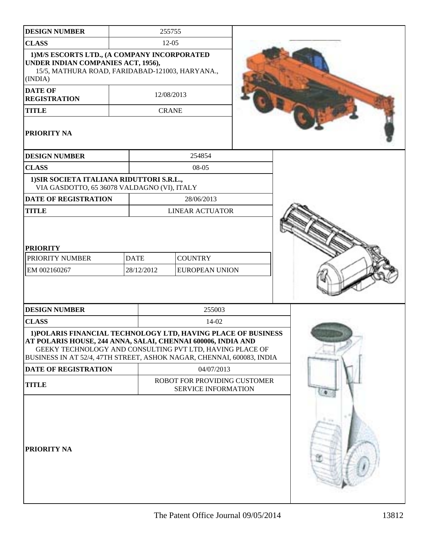| <b>DESIGN NUMBER</b>                                                                                                                                                                                                                                               | 255755                                                     |                                         |                        |  |  |
|--------------------------------------------------------------------------------------------------------------------------------------------------------------------------------------------------------------------------------------------------------------------|------------------------------------------------------------|-----------------------------------------|------------------------|--|--|
| <b>CLASS</b>                                                                                                                                                                                                                                                       |                                                            | $12-05$                                 |                        |  |  |
| 1) M/S ESCORTS LTD., (A COMPANY INCORPORATED<br>UNDER INDIAN COMPANIES ACT, 1956),<br>15/5, MATHURA ROAD, FARIDABAD-121003, HARYANA.,<br>(INDIA)                                                                                                                   |                                                            |                                         |                        |  |  |
| <b>DATE OF</b><br><b>REGISTRATION</b>                                                                                                                                                                                                                              |                                                            | 12/08/2013                              |                        |  |  |
| <b>TITLE</b>                                                                                                                                                                                                                                                       |                                                            | <b>CRANE</b>                            |                        |  |  |
| PRIORITY NA                                                                                                                                                                                                                                                        |                                                            |                                         |                        |  |  |
| <b>DESIGN NUMBER</b>                                                                                                                                                                                                                                               |                                                            |                                         | 254854                 |  |  |
| <b>CLASS</b>                                                                                                                                                                                                                                                       |                                                            |                                         | 08-05                  |  |  |
| 1) SIR SOCIETA ITALIANA RIDUTTORI S.R.L.,<br>VIA GASDOTTO, 65 36078 VALDAGNO (VI), ITALY                                                                                                                                                                           |                                                            |                                         |                        |  |  |
| <b>DATE OF REGISTRATION</b>                                                                                                                                                                                                                                        |                                                            |                                         | 28/06/2013             |  |  |
| <b>TITLE</b>                                                                                                                                                                                                                                                       |                                                            |                                         | <b>LINEAR ACTUATOR</b> |  |  |
| PRIORITY NUMBER<br>EM 002160267                                                                                                                                                                                                                                    | <b>DATE</b><br>28/12/2012                                  | <b>COUNTRY</b><br><b>EUROPEAN UNION</b> |                        |  |  |
| <b>DESIGN NUMBER</b>                                                                                                                                                                                                                                               |                                                            |                                         | 255003                 |  |  |
| <b>CLASS</b>                                                                                                                                                                                                                                                       |                                                            |                                         | 14-02                  |  |  |
| 1) POLARIS FINANCIAL TECHNOLOGY LTD, HAVING PLACE OF BUSINESS<br>AT POLARIS HOUSE, 244 ANNA, SALAI, CHENNAI 600006, INDIA AND<br>GEEKY TECHNOLOGY AND CONSULTING PVT LTD, HAVING PLACE OF<br>BUSINESS IN AT 52/4, 47TH STREET, ASHOK NAGAR, CHENNAI, 600083, INDIA |                                                            |                                         |                        |  |  |
| DATE OF REGISTRATION                                                                                                                                                                                                                                               | 04/07/2013                                                 |                                         |                        |  |  |
| <b>TITLE</b>                                                                                                                                                                                                                                                       | ROBOT FOR PROVIDING CUSTOMER<br><b>SERVICE INFORMATION</b> |                                         |                        |  |  |
| PRIORITY NA                                                                                                                                                                                                                                                        |                                                            |                                         |                        |  |  |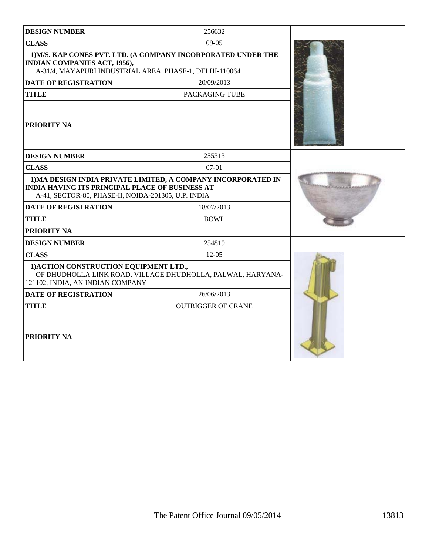| <b>DESIGN NUMBER</b>                                                                                          | 256632                                                        |  |
|---------------------------------------------------------------------------------------------------------------|---------------------------------------------------------------|--|
| <b>CLASS</b>                                                                                                  | $09-05$                                                       |  |
| INDIAN COMPANIES ACT, 1956),<br>A-31/4, MAYAPURI INDUSTRIAL AREA, PHASE-1, DELHI-110064                       | 1) M/S. KAP CONES PVT. LTD. (A COMPANY INCORPORATED UNDER THE |  |
| <b>DATE OF REGISTRATION</b>                                                                                   | 20/09/2013                                                    |  |
| <b>TITLE</b>                                                                                                  | PACKAGING TUBE                                                |  |
| <b>PRIORITY NA</b>                                                                                            |                                                               |  |
| <b>DESIGN NUMBER</b>                                                                                          | 255313                                                        |  |
| <b>CLASS</b>                                                                                                  | $07 - 01$                                                     |  |
| <b>INDIA HAVING ITS PRINCIPAL PLACE OF BUSINESS AT</b><br>A-41, SECTOR-80, PHASE-II, NOIDA-201305, U.P. INDIA | 1) MA DESIGN INDIA PRIVATE LIMITED, A COMPANY INCORPORATED IN |  |
| <b>DATE OF REGISTRATION</b>                                                                                   |                                                               |  |
| <b>BOWL</b><br><b>TITLE</b>                                                                                   |                                                               |  |
| <b>PRIORITY NA</b>                                                                                            |                                                               |  |
| <b>DESIGN NUMBER</b>                                                                                          | 254819                                                        |  |
| <b>CLASS</b>                                                                                                  | $12-05$                                                       |  |
| 1) ACTION CONSTRUCTION EQUIPMENT LTD.,<br>121102, INDIA, AN INDIAN COMPANY                                    | OF DHUDHOLLA LINK ROAD, VILLAGE DHUDHOLLA, PALWAL, HARYANA-   |  |
| <b>DATE OF REGISTRATION</b>                                                                                   |                                                               |  |
| <b>TITLE</b>                                                                                                  | <b>OUTRIGGER OF CRANE</b>                                     |  |
| <b>PRIORITY NA</b>                                                                                            |                                                               |  |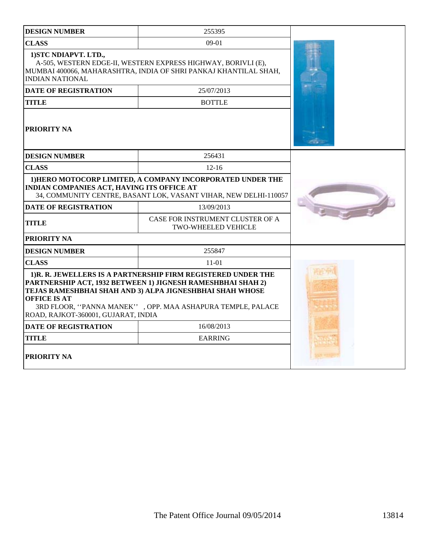| <b>DESIGN NUMBER</b>                                                                                                                                                                                                                                                                                                | 255395                                                                                                                         |  |  |  |
|---------------------------------------------------------------------------------------------------------------------------------------------------------------------------------------------------------------------------------------------------------------------------------------------------------------------|--------------------------------------------------------------------------------------------------------------------------------|--|--|--|
| <b>CLASS</b>                                                                                                                                                                                                                                                                                                        | $09-01$                                                                                                                        |  |  |  |
| 1) STC NDIAPVT. LTD.,<br>A-505, WESTERN EDGE-II, WESTERN EXPRESS HIGHWAY, BORIVLI (E),<br>MUMBAI 400066, MAHARASHTRA, INDIA OF SHRI PANKAJ KHANTILAL SHAH,<br><b>INDIAN NATIONAL</b>                                                                                                                                |                                                                                                                                |  |  |  |
| <b>DATE OF REGISTRATION</b>                                                                                                                                                                                                                                                                                         | 25/07/2013                                                                                                                     |  |  |  |
| <b>TITLE</b>                                                                                                                                                                                                                                                                                                        | <b>BOTTLE</b>                                                                                                                  |  |  |  |
| <b>PRIORITY NA</b>                                                                                                                                                                                                                                                                                                  |                                                                                                                                |  |  |  |
| <b>DESIGN NUMBER</b>                                                                                                                                                                                                                                                                                                | 256431                                                                                                                         |  |  |  |
| <b>CLASS</b>                                                                                                                                                                                                                                                                                                        | $12 - 16$                                                                                                                      |  |  |  |
| <b>INDIAN COMPANIES ACT, HAVING ITS OFFICE AT</b>                                                                                                                                                                                                                                                                   | 1) HERO MOTOCORP LIMITED, A COMPANY INCORPORATED UNDER THE<br>34, COMMUNITY CENTRE, BASANT LOK, VASANT VIHAR, NEW DELHI-110057 |  |  |  |
| <b>DATE OF REGISTRATION</b><br>13/09/2013                                                                                                                                                                                                                                                                           |                                                                                                                                |  |  |  |
| CASE FOR INSTRUMENT CLUSTER OF A<br><b>TITLE</b><br><b>TWO-WHEELED VEHICLE</b>                                                                                                                                                                                                                                      |                                                                                                                                |  |  |  |
| <b>PRIORITY NA</b>                                                                                                                                                                                                                                                                                                  |                                                                                                                                |  |  |  |
| <b>DESIGN NUMBER</b>                                                                                                                                                                                                                                                                                                | 255847                                                                                                                         |  |  |  |
| <b>CLASS</b>                                                                                                                                                                                                                                                                                                        | $11-01$                                                                                                                        |  |  |  |
| 1)R. R. JEWELLERS IS A PARTNERSHIP FIRM REGISTERED UNDER THE<br>PARTNERSHIP ACT, 1932 BETWEEN 1) JIGNESH RAMESHBHAI SHAH 2)<br>TEJAS RAMESHBHAI SHAH AND 3) ALPA JIGNESHBHAI SHAH WHOSE<br><b>OFFICE IS AT</b><br>3RD FLOOR, "PANNA MANEK", OPP. MAA ASHAPURA TEMPLE, PALACE<br>ROAD, RAJKOT-360001, GUJARAT, INDIA |                                                                                                                                |  |  |  |
| <b>DATE OF REGISTRATION</b><br>16/08/2013                                                                                                                                                                                                                                                                           |                                                                                                                                |  |  |  |
| <b>TITLE</b><br><b>EARRING</b>                                                                                                                                                                                                                                                                                      |                                                                                                                                |  |  |  |
| <b>PRIORITY NA</b>                                                                                                                                                                                                                                                                                                  |                                                                                                                                |  |  |  |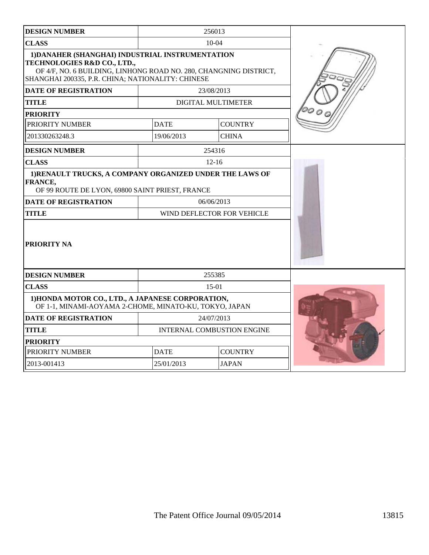| <b>DESIGN NUMBER</b>                                                                                                                                                                                      |             | 256013                            |  |
|-----------------------------------------------------------------------------------------------------------------------------------------------------------------------------------------------------------|-------------|-----------------------------------|--|
| <b>CLASS</b>                                                                                                                                                                                              |             |                                   |  |
| 1) DANAHER (SHANGHAI) INDUSTRIAL INSTRUMENTATION<br>TECHNOLOGIES R&D CO., LTD.,<br>OF 4/F, NO. 6 BUILDING, LINHONG ROAD NO. 280, CHANGNING DISTRICT,<br>SHANGHAI 200335, P.R. CHINA; NATIONALITY: CHINESE |             |                                   |  |
| <b>DATE OF REGISTRATION</b>                                                                                                                                                                               |             | 23/08/2013                        |  |
| <b>TITLE</b>                                                                                                                                                                                              |             | <b>DIGITAL MULTIMETER</b>         |  |
| <b>PRIORITY</b>                                                                                                                                                                                           |             |                                   |  |
| PRIORITY NUMBER                                                                                                                                                                                           | <b>DATE</b> | <b>COUNTRY</b>                    |  |
| 201330263248.3                                                                                                                                                                                            | 19/06/2013  | <b>CHINA</b>                      |  |
| <b>DESIGN NUMBER</b>                                                                                                                                                                                      |             | 254316                            |  |
| <b>CLASS</b>                                                                                                                                                                                              |             | $12 - 16$                         |  |
| 1) RENAULT TRUCKS, A COMPANY ORGANIZED UNDER THE LAWS OF<br>FRANCE,<br>OF 99 ROUTE DE LYON, 69800 SAINT PRIEST, FRANCE                                                                                    |             |                                   |  |
| <b>DATE OF REGISTRATION</b>                                                                                                                                                                               |             | 06/06/2013                        |  |
| <b>TITLE</b>                                                                                                                                                                                              |             | WIND DEFLECTOR FOR VEHICLE        |  |
| <b>PRIORITY NA</b>                                                                                                                                                                                        |             |                                   |  |
| <b>DESIGN NUMBER</b>                                                                                                                                                                                      |             | 255385                            |  |
| <b>CLASS</b>                                                                                                                                                                                              |             | $15-01$                           |  |
| 1) HONDA MOTOR CO., LTD., A JAPANESE CORPORATION,<br>OF 1-1, MINAMI-AOYAMA 2-CHOME, MINATO-KU, TOKYO, JAPAN                                                                                               |             |                                   |  |
| <b>DATE OF REGISTRATION</b>                                                                                                                                                                               |             | 24/07/2013                        |  |
| <b>TITLE</b>                                                                                                                                                                                              |             | <b>INTERNAL COMBUSTION ENGINE</b> |  |
| <b>PRIORITY</b>                                                                                                                                                                                           |             |                                   |  |
| PRIORITY NUMBER                                                                                                                                                                                           | <b>DATE</b> | <b>COUNTRY</b>                    |  |
| 2013-001413                                                                                                                                                                                               | 25/01/2013  | <b>JAPAN</b>                      |  |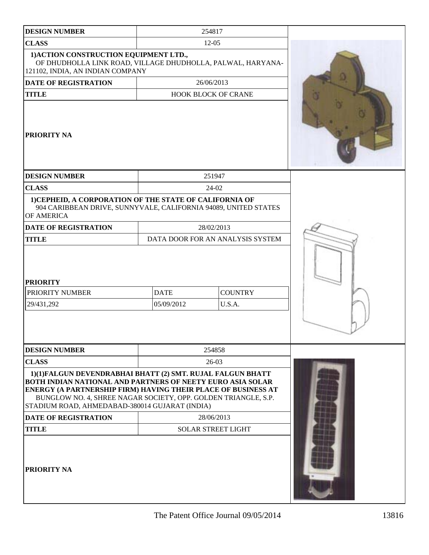| <b>DESIGN NUMBER</b>                                                                                                                                                                                                                                                                                          |                           | 254817                           |  |
|---------------------------------------------------------------------------------------------------------------------------------------------------------------------------------------------------------------------------------------------------------------------------------------------------------------|---------------------------|----------------------------------|--|
| <b>CLASS</b>                                                                                                                                                                                                                                                                                                  |                           | $12 - 05$                        |  |
| 1) ACTION CONSTRUCTION EQUIPMENT LTD.,<br>OF DHUDHOLLA LINK ROAD, VILLAGE DHUDHOLLA, PALWAL, HARYANA-<br>121102, INDIA, AN INDIAN COMPANY                                                                                                                                                                     |                           |                                  |  |
| <b>DATE OF REGISTRATION</b>                                                                                                                                                                                                                                                                                   |                           | 26/06/2013                       |  |
| <b>TITLE</b>                                                                                                                                                                                                                                                                                                  |                           | <b>HOOK BLOCK OF CRANE</b>       |  |
| <b>PRIORITY NA</b>                                                                                                                                                                                                                                                                                            |                           |                                  |  |
| <b>DESIGN NUMBER</b>                                                                                                                                                                                                                                                                                          |                           | 251947                           |  |
| <b>CLASS</b>                                                                                                                                                                                                                                                                                                  |                           | 24-02                            |  |
| 1) CEPHEID, A CORPORATION OF THE STATE OF CALIFORNIA OF<br>904 CARIBBEAN DRIVE, SUNNYVALE, CALIFORNIA 94089, UNITED STATES<br>OF AMERICA                                                                                                                                                                      |                           |                                  |  |
| <b>DATE OF REGISTRATION</b>                                                                                                                                                                                                                                                                                   |                           | 28/02/2013                       |  |
| <b>TITLE</b>                                                                                                                                                                                                                                                                                                  |                           | DATA DOOR FOR AN ANALYSIS SYSTEM |  |
| <b>PRIORITY</b><br>PRIORITY NUMBER<br>29/431,292                                                                                                                                                                                                                                                              | <b>DATE</b><br>05/09/2012 | <b>COUNTRY</b><br>U.S.A.         |  |
| <b>DESIGN NUMBER</b>                                                                                                                                                                                                                                                                                          |                           | 254858                           |  |
| <b>CLASS</b>                                                                                                                                                                                                                                                                                                  |                           | 26-03                            |  |
| 1)(1)FALGUN DEVENDRABHAI BHATT (2) SMT. RUJAL FALGUN BHATT<br>BOTH INDIAN NATIONAL AND PARTNERS OF NEETY EURO ASIA SOLAR<br>ENERGY (A PARTNERSHIP FIRM) HAVING THEIR PLACE OF BUSINESS AT<br>BUNGLOW NO. 4, SHREE NAGAR SOCIETY, OPP. GOLDEN TRIANGLE, S.P.<br>STADIUM ROAD, AHMEDABAD-380014 GUJARAT (INDIA) |                           |                                  |  |
| <b>DATE OF REGISTRATION</b>                                                                                                                                                                                                                                                                                   | 28/06/2013                |                                  |  |
| <b>TITLE</b><br><b>PRIORITY NA</b>                                                                                                                                                                                                                                                                            |                           | <b>SOLAR STREET LIGHT</b>        |  |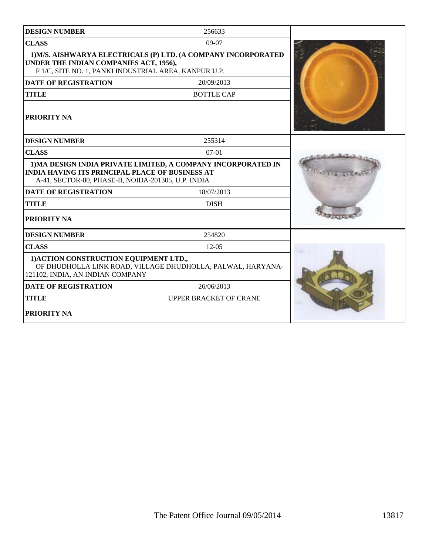| <b>DESIGN NUMBER</b>                                                                                          | 256633                                                         |  |
|---------------------------------------------------------------------------------------------------------------|----------------------------------------------------------------|--|
| <b>CLASS</b>                                                                                                  | 09-07                                                          |  |
| UNDER THE INDIAN COMPANIES ACT, 1956),<br>F 1/C, SITE NO. 1, PANKI INDUSTRIAL AREA, KANPUR U.P.               | 1) M/S. AISHWARYA ELECTRICALS (P) LTD. (A COMPANY INCORPORATED |  |
| <b>DATE OF REGISTRATION</b>                                                                                   | 20/09/2013                                                     |  |
| <b>TITLE</b>                                                                                                  | <b>BOTTLE CAP</b>                                              |  |
| <b>PRIORITY NA</b>                                                                                            |                                                                |  |
| <b>DESIGN NUMBER</b>                                                                                          | 255314                                                         |  |
| <b>CLASS</b>                                                                                                  | $07-01$                                                        |  |
| <b>INDIA HAVING ITS PRINCIPAL PLACE OF BUSINESS AT</b><br>A-41, SECTOR-80, PHASE-II, NOIDA-201305, U.P. INDIA | 1) MA DESIGN INDIA PRIVATE LIMITED, A COMPANY INCORPORATED IN  |  |
| <b>DATE OF REGISTRATION</b>                                                                                   | 18/07/2013                                                     |  |
| <b>TITLE</b>                                                                                                  | <b>DISH</b>                                                    |  |
| PRIORITY NA                                                                                                   |                                                                |  |
| <b>DESIGN NUMBER</b>                                                                                          | 254820                                                         |  |
| <b>CLASS</b>                                                                                                  | $12-05$                                                        |  |
| 1) ACTION CONSTRUCTION EQUIPMENT LTD.,<br>121102, INDIA, AN INDIAN COMPANY                                    | OF DHUDHOLLA LINK ROAD, VILLAGE DHUDHOLLA, PALWAL, HARYANA-    |  |
| <b>DATE OF REGISTRATION</b>                                                                                   | 26/06/2013                                                     |  |
| <b>TITLE</b>                                                                                                  | <b>UPPER BRACKET OF CRANE</b>                                  |  |
| PRIORITY NA                                                                                                   |                                                                |  |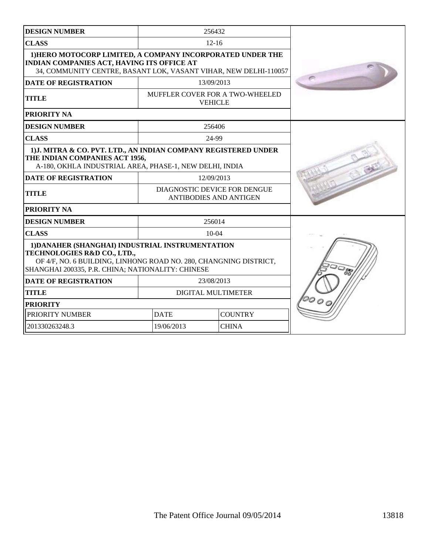| <b>DESIGN NUMBER</b>                                                                                                                                                                                      |                                                               | 256432       |  |
|-----------------------------------------------------------------------------------------------------------------------------------------------------------------------------------------------------------|---------------------------------------------------------------|--------------|--|
| <b>CLASS</b>                                                                                                                                                                                              | $12 - 16$                                                     |              |  |
| 1) HERO MOTOCORP LIMITED, A COMPANY INCORPORATED UNDER THE<br>INDIAN COMPANIES ACT, HAVING ITS OFFICE AT<br>34, COMMUNITY CENTRE, BASANT LOK, VASANT VIHAR, NEW DELHI-110057                              |                                                               |              |  |
| <b>DATE OF REGISTRATION</b>                                                                                                                                                                               |                                                               | 13/09/2013   |  |
| <b>TITLE</b>                                                                                                                                                                                              | MUFFLER COVER FOR A TWO-WHEELED<br><b>VEHICLE</b>             |              |  |
| PRIORITY NA                                                                                                                                                                                               |                                                               |              |  |
| <b>DESIGN NUMBER</b>                                                                                                                                                                                      |                                                               | 256406       |  |
| <b>CLASS</b>                                                                                                                                                                                              |                                                               | 24-99        |  |
| 1) J. MITRA & CO. PVT. LTD., AN INDIAN COMPANY REGISTERED UNDER<br>THE INDIAN COMPANIES ACT 1956,<br>A-180, OKHLA INDUSTRIAL AREA, PHASE-1, NEW DELHI, INDIA                                              |                                                               |              |  |
| <b>DATE OF REGISTRATION</b>                                                                                                                                                                               |                                                               | 12/09/2013   |  |
| <b>TITLE</b>                                                                                                                                                                                              | DIAGNOSTIC DEVICE FOR DENGUE<br><b>ANTIBODIES AND ANTIGEN</b> |              |  |
| PRIORITY NA                                                                                                                                                                                               |                                                               |              |  |
| <b>DESIGN NUMBER</b>                                                                                                                                                                                      | 256014                                                        |              |  |
| <b>CLASS</b>                                                                                                                                                                                              |                                                               | $10-04$      |  |
| 1) DANAHER (SHANGHAI) INDUSTRIAL INSTRUMENTATION<br>TECHNOLOGIES R&D CO., LTD.,<br>OF 4/F, NO. 6 BUILDING, LINHONG ROAD NO. 280, CHANGNING DISTRICT,<br>SHANGHAI 200335, P.R. CHINA; NATIONALITY: CHINESE |                                                               |              |  |
| <b>DATE OF REGISTRATION</b>                                                                                                                                                                               |                                                               | 23/08/2013   |  |
| <b>TITLE</b>                                                                                                                                                                                              | <b>DIGITAL MULTIMETER</b>                                     |              |  |
| <b>PRIORITY</b>                                                                                                                                                                                           |                                                               |              |  |
| PRIORITY NUMBER                                                                                                                                                                                           | <b>DATE</b><br><b>COUNTRY</b>                                 |              |  |
| 201330263248.3                                                                                                                                                                                            | 19/06/2013                                                    | <b>CHINA</b> |  |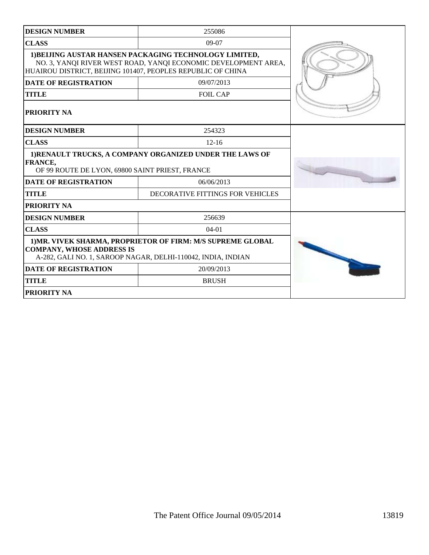| <b>DESIGN NUMBER</b>                                                                                                                                                                    | 255086                                                                                                                      |  |
|-----------------------------------------------------------------------------------------------------------------------------------------------------------------------------------------|-----------------------------------------------------------------------------------------------------------------------------|--|
| <b>CLASS</b>                                                                                                                                                                            | $09-07$                                                                                                                     |  |
| 1) BEIJING AUSTAR HANSEN PACKAGING TECHNOLOGY LIMITED,<br>NO. 3, YANQI RIVER WEST ROAD, YANQI ECONOMIC DEVELOPMENT AREA,<br>HUAIROU DISTRICT, BEIJING 101407, PEOPLES REPUBLIC OF CHINA |                                                                                                                             |  |
| <b>DATE OF REGISTRATION</b>                                                                                                                                                             | 09/07/2013                                                                                                                  |  |
| <b>TITLE</b>                                                                                                                                                                            | <b>FOIL CAP</b>                                                                                                             |  |
| <b>PRIORITY NA</b>                                                                                                                                                                      |                                                                                                                             |  |
| <b>DESIGN NUMBER</b>                                                                                                                                                                    | 254323                                                                                                                      |  |
| <b>CLASS</b>                                                                                                                                                                            | $12 - 16$                                                                                                                   |  |
| 1)RENAULT TRUCKS, A COMPANY ORGANIZED UNDER THE LAWS OF<br><b>FRANCE,</b><br>OF 99 ROUTE DE LYON, 69800 SAINT PRIEST, FRANCE                                                            |                                                                                                                             |  |
| <b>DATE OF REGISTRATION</b>                                                                                                                                                             | 06/06/2013                                                                                                                  |  |
| <b>TITLE</b>                                                                                                                                                                            | DECORATIVE FITTINGS FOR VEHICLES                                                                                            |  |
| <b>PRIORITY NA</b>                                                                                                                                                                      |                                                                                                                             |  |
| <b>DESIGN NUMBER</b>                                                                                                                                                                    | 256639                                                                                                                      |  |
| <b>CLASS</b>                                                                                                                                                                            | $04-01$                                                                                                                     |  |
| <b>COMPANY, WHOSE ADDRESS IS</b>                                                                                                                                                        | 1) MR. VIVEK SHARMA, PROPRIETOR OF FIRM: M/S SUPREME GLOBAL<br>A-282, GALI NO. 1, SAROOP NAGAR, DELHI-110042, INDIA, INDIAN |  |
| <b>DATE OF REGISTRATION</b>                                                                                                                                                             | 20/09/2013                                                                                                                  |  |
| <b>TITLE</b>                                                                                                                                                                            | <b>BRUSH</b>                                                                                                                |  |
| <b>PRIORITY NA</b>                                                                                                                                                                      |                                                                                                                             |  |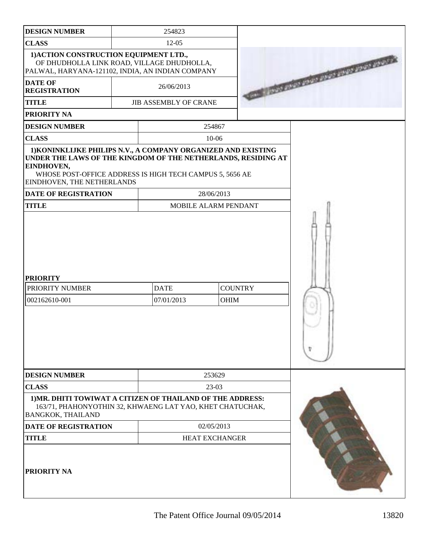| <b>DESIGN NUMBER</b>                                                                                                                                                                                                                   |         | 254823                       |                       |                                                           |  |
|----------------------------------------------------------------------------------------------------------------------------------------------------------------------------------------------------------------------------------------|---------|------------------------------|-----------------------|-----------------------------------------------------------|--|
| <b>CLASS</b>                                                                                                                                                                                                                           | $12-05$ |                              |                       |                                                           |  |
| 1) ACTION CONSTRUCTION EQUIPMENT LTD.,<br>OF DHUDHOLLA LINK ROAD, VILLAGE DHUDHOLLA,<br>PALWAL, HARYANA-121102, INDIA, AN INDIAN COMPANY                                                                                               |         |                              |                       | <b>REAL PROPERTY AND REAL PROPERTY AND REAL PROPERTY.</b> |  |
| <b>DATE OF</b><br><b>REGISTRATION</b>                                                                                                                                                                                                  |         | 26/06/2013                   |                       |                                                           |  |
| <b>TITLE</b>                                                                                                                                                                                                                           |         | <b>JIB ASSEMBLY OF CRANE</b> |                       |                                                           |  |
| PRIORITY NA                                                                                                                                                                                                                            |         |                              |                       |                                                           |  |
| <b>DESIGN NUMBER</b>                                                                                                                                                                                                                   |         |                              | 254867                |                                                           |  |
| <b>CLASS</b>                                                                                                                                                                                                                           |         |                              | 10-06                 |                                                           |  |
| 1) KONINKLIJKE PHILIPS N.V., A COMPANY ORGANIZED AND EXISTING<br>UNDER THE LAWS OF THE KINGDOM OF THE NETHERLANDS, RESIDING AT<br>EINDHOVEN,<br>WHOSE POST-OFFICE ADDRESS IS HIGH TECH CAMPUS 5, 5656 AE<br>EINDHOVEN, THE NETHERLANDS |         |                              |                       |                                                           |  |
| <b>DATE OF REGISTRATION</b>                                                                                                                                                                                                            |         |                              | 28/06/2013            |                                                           |  |
| <b>TITLE</b>                                                                                                                                                                                                                           |         | MOBILE ALARM PENDANT         |                       |                                                           |  |
| <b>PRIORITY</b><br>PRIORITY NUMBER                                                                                                                                                                                                     |         | <b>DATE</b>                  |                       |                                                           |  |
|                                                                                                                                                                                                                                        |         |                              |                       |                                                           |  |
|                                                                                                                                                                                                                                        |         | <b>COUNTRY</b>               |                       |                                                           |  |
| 002162610-001                                                                                                                                                                                                                          |         | 07/01/2013<br>OHIM           |                       |                                                           |  |
|                                                                                                                                                                                                                                        |         |                              |                       |                                                           |  |
| <b>DESIGN NUMBER</b>                                                                                                                                                                                                                   |         |                              | 253629                |                                                           |  |
| <b>CLASS</b>                                                                                                                                                                                                                           |         |                              | $23-03$               |                                                           |  |
| 1) MR. DHITI TOWIWAT A CITIZEN OF THAILAND OF THE ADDRESS:<br>163/71, PHAHONYOTHIN 32, KHWAENG LAT YAO, KHET CHATUCHAK,<br><b>BANGKOK, THAILAND</b>                                                                                    |         |                              |                       |                                                           |  |
| <b>DATE OF REGISTRATION</b>                                                                                                                                                                                                            |         | 02/05/2013                   |                       |                                                           |  |
| <b>TITLE</b>                                                                                                                                                                                                                           |         |                              | <b>HEAT EXCHANGER</b> |                                                           |  |
| PRIORITY NA                                                                                                                                                                                                                            |         |                              |                       |                                                           |  |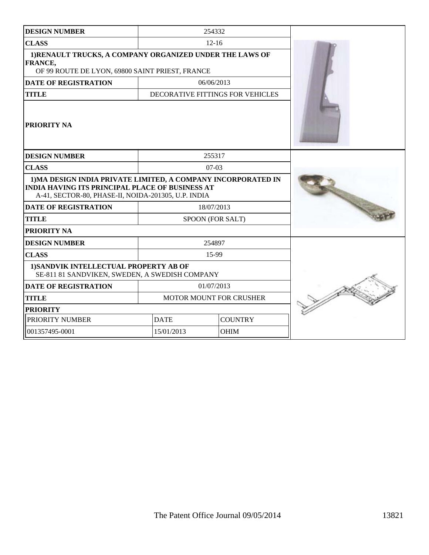| <b>DESIGN NUMBER</b>                                                                                                                                                           |                                | 254332                           |  |
|--------------------------------------------------------------------------------------------------------------------------------------------------------------------------------|--------------------------------|----------------------------------|--|
| <b>CLASS</b>                                                                                                                                                                   | $12 - 16$                      |                                  |  |
| 1) RENAULT TRUCKS, A COMPANY ORGANIZED UNDER THE LAWS OF<br><b>FRANCE,</b><br>OF 99 ROUTE DE LYON, 69800 SAINT PRIEST, FRANCE                                                  |                                |                                  |  |
| <b>DATE OF REGISTRATION</b>                                                                                                                                                    |                                | 06/06/2013                       |  |
| <b>TITLE</b>                                                                                                                                                                   |                                | DECORATIVE FITTINGS FOR VEHICLES |  |
| <b>PRIORITY NA</b>                                                                                                                                                             |                                |                                  |  |
| <b>DESIGN NUMBER</b>                                                                                                                                                           |                                | 255317                           |  |
| <b>CLASS</b>                                                                                                                                                                   | $07-03$                        |                                  |  |
| 1) MA DESIGN INDIA PRIVATE LIMITED, A COMPANY INCORPORATED IN<br><b>INDIA HAVING ITS PRINCIPAL PLACE OF BUSINESS AT</b><br>A-41, SECTOR-80, PHASE-II, NOIDA-201305, U.P. INDIA |                                |                                  |  |
| <b>DATE OF REGISTRATION</b>                                                                                                                                                    | 18/07/2013                     |                                  |  |
| <b>TITLE</b>                                                                                                                                                                   |                                | SPOON (FOR SALT)                 |  |
| <b>PRIORITY NA</b>                                                                                                                                                             |                                |                                  |  |
| <b>DESIGN NUMBER</b>                                                                                                                                                           |                                | 254897                           |  |
| <b>CLASS</b>                                                                                                                                                                   | 15-99                          |                                  |  |
| 1) SANDVIK INTELLECTUAL PROPERTY AB OF<br>SE-811 81 SANDVIKEN, SWEDEN, A SWEDISH COMPANY                                                                                       |                                |                                  |  |
| <b>DATE OF REGISTRATION</b>                                                                                                                                                    |                                | 01/07/2013                       |  |
| <b>TITLE</b>                                                                                                                                                                   | <b>MOTOR MOUNT FOR CRUSHER</b> |                                  |  |
| <b>PRIORITY</b>                                                                                                                                                                |                                |                                  |  |
| PRIORITY NUMBER                                                                                                                                                                | <b>DATE</b><br><b>COUNTRY</b>  |                                  |  |
| 001357495-0001                                                                                                                                                                 | 15/01/2013<br><b>OHIM</b>      |                                  |  |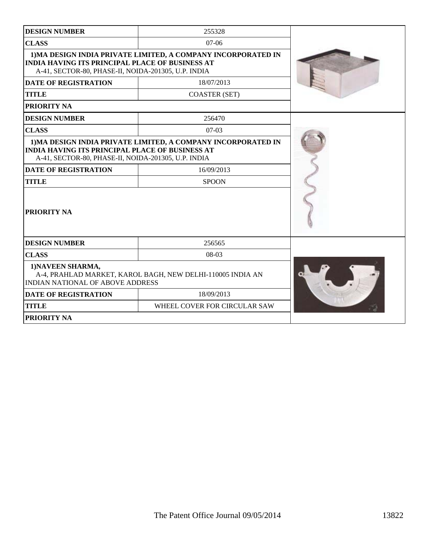| <b>DESIGN NUMBER</b>                                                                                          | 255328                                                        |  |
|---------------------------------------------------------------------------------------------------------------|---------------------------------------------------------------|--|
| <b>CLASS</b>                                                                                                  | $07-06$                                                       |  |
| <b>INDIA HAVING ITS PRINCIPAL PLACE OF BUSINESS AT</b><br>A-41, SECTOR-80, PHASE-II, NOIDA-201305, U.P. INDIA | 1) MA DESIGN INDIA PRIVATE LIMITED, A COMPANY INCORPORATED IN |  |
| <b>DATE OF REGISTRATION</b>                                                                                   | 18/07/2013                                                    |  |
| <b>TITLE</b>                                                                                                  | <b>COASTER (SET)</b>                                          |  |
| <b>PRIORITY NA</b>                                                                                            |                                                               |  |
| <b>DESIGN NUMBER</b>                                                                                          | 256470                                                        |  |
| <b>CLASS</b>                                                                                                  | $07-03$                                                       |  |
| <b>INDIA HAVING ITS PRINCIPAL PLACE OF BUSINESS AT</b><br>A-41, SECTOR-80, PHASE-II, NOIDA-201305, U.P. INDIA | 1) MA DESIGN INDIA PRIVATE LIMITED, A COMPANY INCORPORATED IN |  |
| <b>DATE OF REGISTRATION</b>                                                                                   | 16/09/2013                                                    |  |
| <b>TITLE</b>                                                                                                  | <b>SPOON</b>                                                  |  |
| <b>PRIORITY NA</b>                                                                                            |                                                               |  |
| <b>DESIGN NUMBER</b>                                                                                          | 256565                                                        |  |
| <b>CLASS</b>                                                                                                  | 08-03                                                         |  |
| 1) NAVEEN SHARMA,<br><b>INDIAN NATIONAL OF ABOVE ADDRESS</b>                                                  | A-4, PRAHLAD MARKET, KAROL BAGH, NEW DELHI-110005 INDIA AN    |  |
| <b>DATE OF REGISTRATION</b>                                                                                   | 18/09/2013                                                    |  |
| <b>TITLE</b>                                                                                                  | WHEEL COVER FOR CIRCULAR SAW                                  |  |
| <b>PRIORITY NA</b>                                                                                            |                                                               |  |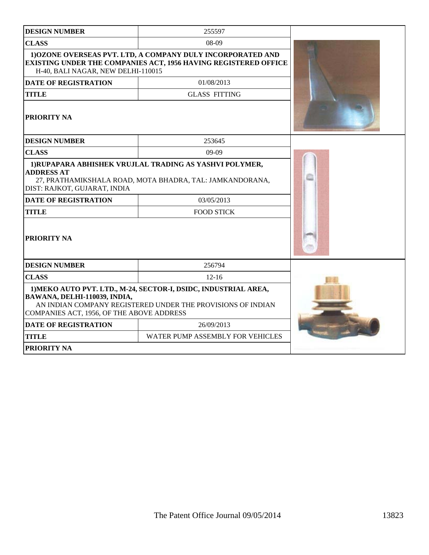| <b>DESIGN NUMBER</b>                                                      | 255597                                                                                                                                |  |
|---------------------------------------------------------------------------|---------------------------------------------------------------------------------------------------------------------------------------|--|
| <b>CLASS</b>                                                              | 08-09                                                                                                                                 |  |
| H-40, BALI NAGAR, NEW DELHI-110015                                        | 1) OZONE OVERSEAS PVT. LTD, A COMPANY DULY INCORPORATED AND<br><b>EXISTING UNDER THE COMPANIES ACT, 1956 HAVING REGISTERED OFFICE</b> |  |
| <b>DATE OF REGISTRATION</b>                                               | 01/08/2013                                                                                                                            |  |
| <b>TITLE</b>                                                              | <b>GLASS FITTING</b>                                                                                                                  |  |
| <b>PRIORITY NA</b>                                                        |                                                                                                                                       |  |
| <b>DESIGN NUMBER</b>                                                      | 253645                                                                                                                                |  |
| <b>CLASS</b>                                                              | $09-09$                                                                                                                               |  |
| <b>ADDRESS AT</b><br>DIST: RAJKOT, GUJARAT, INDIA                         | 1) RUPAPARA ABHISHEK VRUJLAL TRADING AS YASHVI POLYMER,<br>27, PRATHAMIKSHALA ROAD, MOTA BHADRA, TAL: JAMKANDORANA,                   |  |
| <b>DATE OF REGISTRATION</b>                                               | 03/05/2013                                                                                                                            |  |
| <b>TITLE</b>                                                              | <b>FOOD STICK</b>                                                                                                                     |  |
| <b>PRIORITY NA</b>                                                        |                                                                                                                                       |  |
| <b>DESIGN NUMBER</b>                                                      | 256794                                                                                                                                |  |
| <b>CLASS</b>                                                              | $12 - 16$                                                                                                                             |  |
| BAWANA, DELHI-110039, INDIA,<br>COMPANIES ACT, 1956, OF THE ABOVE ADDRESS | 1) MEKO AUTO PVT. LTD., M-24, SECTOR-I, DSIDC, INDUSTRIAL AREA,<br>AN INDIAN COMPANY REGISTERED UNDER THE PROVISIONS OF INDIAN        |  |
| <b>DATE OF REGISTRATION</b>                                               | 26/09/2013                                                                                                                            |  |
| <b>TITLE</b>                                                              | WATER PUMP ASSEMBLY FOR VEHICLES                                                                                                      |  |
| <b>PRIORITY NA</b>                                                        |                                                                                                                                       |  |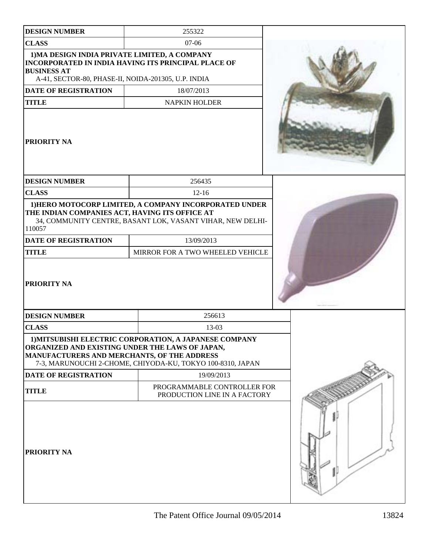| <b>DESIGN NUMBER</b>                                                                                                       | 255322                                                                                                               |  |
|----------------------------------------------------------------------------------------------------------------------------|----------------------------------------------------------------------------------------------------------------------|--|
| <b>CLASS</b>                                                                                                               | $07-06$                                                                                                              |  |
| 1) MA DESIGN INDIA PRIVATE LIMITED, A COMPANY<br><b>BUSINESS AT</b><br>A-41, SECTOR-80, PHASE-II, NOIDA-201305, U.P. INDIA | <b>INCORPORATED IN INDIA HAVING ITS PRINCIPAL PLACE OF</b>                                                           |  |
| <b>DATE OF REGISTRATION</b>                                                                                                | 18/07/2013                                                                                                           |  |
| <b>TITLE</b>                                                                                                               | <b>NAPKIN HOLDER</b>                                                                                                 |  |
| <b>PRIORITY NA</b>                                                                                                         |                                                                                                                      |  |
| <b>DESIGN NUMBER</b>                                                                                                       | 256435                                                                                                               |  |
| <b>CLASS</b>                                                                                                               | $12-16$                                                                                                              |  |
| THE INDIAN COMPANIES ACT, HAVING ITS OFFICE AT<br>110057                                                                   | 1) HERO MOTOCORP LIMITED, A COMPANY INCORPORATED UNDER<br>34, COMMUNITY CENTRE, BASANT LOK, VASANT VIHAR, NEW DELHI- |  |
| <b>DATE OF REGISTRATION</b>                                                                                                | 13/09/2013                                                                                                           |  |
| <b>TITLE</b>                                                                                                               | MIRROR FOR A TWO WHEELED VEHICLE                                                                                     |  |
| PRIORITY NA                                                                                                                |                                                                                                                      |  |
| <b>DESIGN NUMBER</b>                                                                                                       | 256613                                                                                                               |  |
| <b>CLASS</b>                                                                                                               | 13-03                                                                                                                |  |
| ORGANIZED AND EXISTING UNDER THE LAWS OF JAPAN,<br>MANUFACTURERS AND MERCHANTS, OF THE ADDRESS                             | 1) MITSUBISHI ELECTRIC CORPORATION, A JAPANESE COMPANY<br>7-3, MARUNOUCHI 2-CHOME, CHIYODA-KU, TOKYO 100-8310, JAPAN |  |
| <b>DATE OF REGISTRATION</b>                                                                                                | 19/09/2013                                                                                                           |  |
| <b>TITLE</b>                                                                                                               | PROGRAMMABLE CONTROLLER FOR<br>PRODUCTION LINE IN A FACTORY                                                          |  |
| PRIORITY NA                                                                                                                |                                                                                                                      |  |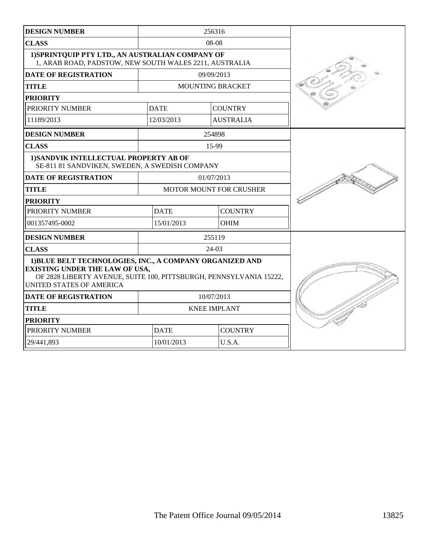| <b>DESIGN NUMBER</b>                                                                                                                                                                                       |                                | 256316           |  |
|------------------------------------------------------------------------------------------------------------------------------------------------------------------------------------------------------------|--------------------------------|------------------|--|
| <b>CLASS</b>                                                                                                                                                                                               |                                | 08-08            |  |
| 1) SPRINTQUIP PTY LTD., AN AUSTRALIAN COMPANY OF<br>1, ARAB ROAD, PADSTOW, NEW SOUTH WALES 2211, AUSTRALIA                                                                                                 |                                |                  |  |
| <b>DATE OF REGISTRATION</b>                                                                                                                                                                                |                                | 09/09/2013       |  |
| <b>TITLE</b>                                                                                                                                                                                               |                                | MOUNTING BRACKET |  |
| <b>PRIORITY</b>                                                                                                                                                                                            |                                |                  |  |
| PRIORITY NUMBER                                                                                                                                                                                            | <b>DATE</b>                    | <b>COUNTRY</b>   |  |
| 11189/2013                                                                                                                                                                                                 | 12/03/2013                     | <b>AUSTRALIA</b> |  |
| <b>DESIGN NUMBER</b>                                                                                                                                                                                       |                                | 254898           |  |
| <b>CLASS</b>                                                                                                                                                                                               |                                | 15-99            |  |
| 1) SANDVIK INTELLECTUAL PROPERTY AB OF<br>SE-811 81 SANDVIKEN, SWEDEN, A SWEDISH COMPANY                                                                                                                   |                                |                  |  |
| <b>DATE OF REGISTRATION</b>                                                                                                                                                                                |                                | 01/07/2013       |  |
| <b>TITLE</b>                                                                                                                                                                                               | <b>MOTOR MOUNT FOR CRUSHER</b> |                  |  |
| <b>PRIORITY</b>                                                                                                                                                                                            |                                |                  |  |
| PRIORITY NUMBER                                                                                                                                                                                            | <b>DATE</b>                    | <b>COUNTRY</b>   |  |
| 001357495-0002                                                                                                                                                                                             | 15/01/2013<br><b>OHIM</b>      |                  |  |
| <b>DESIGN NUMBER</b>                                                                                                                                                                                       |                                | 255119           |  |
| <b>CLASS</b>                                                                                                                                                                                               |                                | 24-03            |  |
| 1) BLUE BELT TECHNOLOGIES, INC., A COMPANY ORGANIZED AND<br><b>EXISTING UNDER THE LAW OF USA,</b><br>OF 2828 LIBERTY AVENUE, SUITE 100, PITTSBURGH, PENNSYLVANIA 15222,<br><b>UNITED STATES OF AMERICA</b> |                                |                  |  |
| <b>DATE OF REGISTRATION</b>                                                                                                                                                                                |                                | 10/07/2013       |  |
| <b>TITLE</b>                                                                                                                                                                                               | <b>KNEE IMPLANT</b>            |                  |  |
| <b>PRIORITY</b>                                                                                                                                                                                            |                                |                  |  |
| PRIORITY NUMBER                                                                                                                                                                                            | <b>DATE</b>                    | <b>COUNTRY</b>   |  |
| 29/441,893                                                                                                                                                                                                 | 10/01/2013                     | U.S.A.           |  |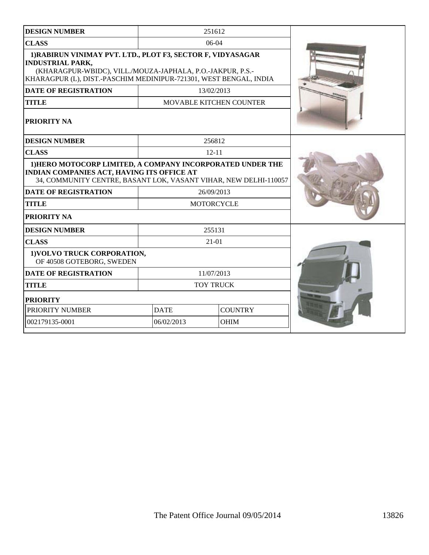| <b>DESIGN NUMBER</b>                                                                                                                                                                                                      |                               | 251612                  |  |
|---------------------------------------------------------------------------------------------------------------------------------------------------------------------------------------------------------------------------|-------------------------------|-------------------------|--|
| <b>CLASS</b>                                                                                                                                                                                                              | 06-04                         |                         |  |
| 1) RABIRUN VINIMAY PVT. LTD., PLOT F3, SECTOR F, VIDYASAGAR<br><b>INDUSTRIAL PARK,</b><br>(KHARAGPUR-WBIDC), VILL./MOUZA-JAPHALA, P.O.-JAKPUR, P.S.-<br>KHARAGPUR (L), DIST.-PASCHIM MEDINIPUR-721301, WEST BENGAL, INDIA |                               |                         |  |
| <b>DATE OF REGISTRATION</b>                                                                                                                                                                                               |                               | 13/02/2013              |  |
| <b>TITLE</b>                                                                                                                                                                                                              |                               | MOVABLE KITCHEN COUNTER |  |
| PRIORITY NA                                                                                                                                                                                                               |                               |                         |  |
| <b>DESIGN NUMBER</b>                                                                                                                                                                                                      |                               | 256812                  |  |
| <b>CLASS</b>                                                                                                                                                                                                              |                               | $12 - 11$               |  |
| 1) HERO MOTOCORP LIMITED, A COMPANY INCORPORATED UNDER THE<br>INDIAN COMPANIES ACT, HAVING ITS OFFICE AT<br>34, COMMUNITY CENTRE, BASANT LOK, VASANT VIHAR, NEW DELHI-110057                                              |                               |                         |  |
| <b>DATE OF REGISTRATION</b>                                                                                                                                                                                               |                               | 26/09/2013              |  |
| <b>TITLE</b>                                                                                                                                                                                                              |                               | <b>MOTORCYCLE</b>       |  |
| PRIORITY NA                                                                                                                                                                                                               |                               |                         |  |
| <b>DESIGN NUMBER</b>                                                                                                                                                                                                      | 255131                        |                         |  |
| <b>CLASS</b>                                                                                                                                                                                                              |                               | $21 - 01$               |  |
| 1) VOLVO TRUCK CORPORATION,<br>OF 40508 GOTEBORG, SWEDEN                                                                                                                                                                  |                               |                         |  |
| <b>DATE OF REGISTRATION</b>                                                                                                                                                                                               |                               | 11/07/2013              |  |
| <b>TITLE</b>                                                                                                                                                                                                              | <b>TOY TRUCK</b>              |                         |  |
| <b>PRIORITY</b>                                                                                                                                                                                                           |                               |                         |  |
| PRIORITY NUMBER                                                                                                                                                                                                           | <b>DATE</b><br><b>COUNTRY</b> |                         |  |
| 002179135-0001                                                                                                                                                                                                            | 06/02/2013<br><b>OHIM</b>     |                         |  |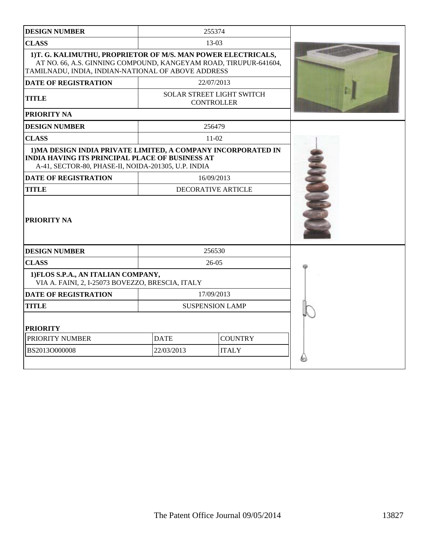| <b>DESIGN NUMBER</b>                                                                                                                                                                   |                        | 255374                                         |  |
|----------------------------------------------------------------------------------------------------------------------------------------------------------------------------------------|------------------------|------------------------------------------------|--|
| <b>CLASS</b>                                                                                                                                                                           | $13-03$                |                                                |  |
| 1)T. G. KALIMUTHU, PROPRIETOR OF M/S. MAN POWER ELECTRICALS,<br>AT NO. 66, A.S. GINNING COMPOUND, KANGEYAM ROAD, TIRUPUR-641604,<br>TAMILNADU, INDIA, INDIAN-NATIONAL OF ABOVE ADDRESS |                        |                                                |  |
| <b>DATE OF REGISTRATION</b>                                                                                                                                                            |                        | 22/07/2013                                     |  |
| <b>TITLE</b>                                                                                                                                                                           |                        | SOLAR STREET LIGHT SWITCH<br><b>CONTROLLER</b> |  |
| PRIORITY NA                                                                                                                                                                            |                        |                                                |  |
| <b>DESIGN NUMBER</b>                                                                                                                                                                   |                        | 256479                                         |  |
| <b>CLASS</b>                                                                                                                                                                           |                        | 11-02                                          |  |
| 1) MA DESIGN INDIA PRIVATE LIMITED, A COMPANY INCORPORATED IN<br><b>INDIA HAVING ITS PRINCIPAL PLACE OF BUSINESS AT</b><br>A-41, SECTOR-80, PHASE-II, NOIDA-201305, U.P. INDIA         |                        |                                                |  |
| <b>DATE OF REGISTRATION</b>                                                                                                                                                            |                        | 16/09/2013                                     |  |
| <b>TITLE</b>                                                                                                                                                                           |                        | <b>DECORATIVE ARTICLE</b>                      |  |
| <b>PRIORITY NA</b>                                                                                                                                                                     |                        |                                                |  |
| <b>DESIGN NUMBER</b>                                                                                                                                                                   |                        | 256530                                         |  |
| <b>CLASS</b>                                                                                                                                                                           |                        | 26-05                                          |  |
| 1) FLOS S.P.A., AN ITALIAN COMPANY,<br>VIA A. FAINI, 2, I-25073 BOVEZZO, BRESCIA, ITALY                                                                                                |                        |                                                |  |
| <b>DATE OF REGISTRATION</b>                                                                                                                                                            |                        | 17/09/2013                                     |  |
| <b>TITLE</b>                                                                                                                                                                           | <b>SUSPENSION LAMP</b> |                                                |  |
| <b>PRIORITY</b>                                                                                                                                                                        |                        |                                                |  |
| PRIORITY NUMBER                                                                                                                                                                        | <b>DATE</b>            | <b>COUNTRY</b>                                 |  |
| BS2013O000008                                                                                                                                                                          | 22/03/2013             | <b>ITALY</b>                                   |  |
|                                                                                                                                                                                        |                        |                                                |  |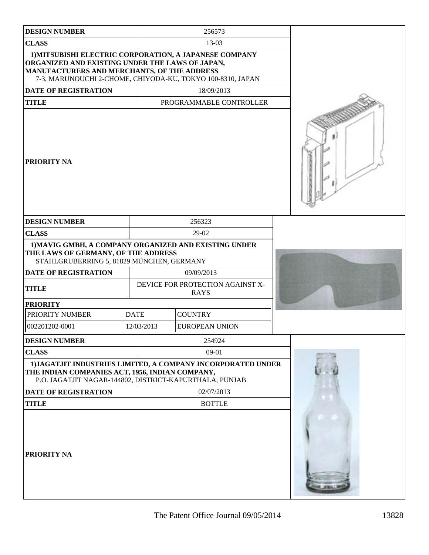| <b>DESIGN NUMBER</b>                                                                                                                                                                                                   |                                                 | 256573                                                                     |  |
|------------------------------------------------------------------------------------------------------------------------------------------------------------------------------------------------------------------------|-------------------------------------------------|----------------------------------------------------------------------------|--|
| <b>CLASS</b>                                                                                                                                                                                                           |                                                 | 13-03                                                                      |  |
| 1) MITSUBISHI ELECTRIC CORPORATION, A JAPANESE COMPANY<br>ORGANIZED AND EXISTING UNDER THE LAWS OF JAPAN,<br>MANUFACTURERS AND MERCHANTS, OF THE ADDRESS<br>7-3, MARUNOUCHI 2-CHOME, CHIYODA-KU, TOKYO 100-8310, JAPAN |                                                 |                                                                            |  |
| <b>DATE OF REGISTRATION</b>                                                                                                                                                                                            |                                                 | 18/09/2013                                                                 |  |
| <b>TITLE</b>                                                                                                                                                                                                           |                                                 | PROGRAMMABLE CONTROLLER                                                    |  |
| <b>PRIORITY NA</b>                                                                                                                                                                                                     |                                                 |                                                                            |  |
| <b>DESIGN NUMBER</b>                                                                                                                                                                                                   |                                                 | 256323                                                                     |  |
| <b>CLASS</b>                                                                                                                                                                                                           |                                                 | 29-02                                                                      |  |
| 1) MAVIG GMBH, A COMPANY ORGANIZED AND EXISTING UNDER<br>THE LAWS OF GERMANY, OF THE ADDRESS<br>STAHLGRUBERRING 5, 81829 MÜNCHEN, GERMANY                                                                              |                                                 |                                                                            |  |
| DATE OF REGISTRATION                                                                                                                                                                                                   |                                                 | 09/09/2013                                                                 |  |
| <b>TITLE</b>                                                                                                                                                                                                           | DEVICE FOR PROTECTION AGAINST X-<br><b>RAYS</b> |                                                                            |  |
| <b>PRIORITY</b>                                                                                                                                                                                                        |                                                 |                                                                            |  |
| PRIORITY NUMBER                                                                                                                                                                                                        | <b>DATE</b>                                     | <b>COUNTRY</b>                                                             |  |
| 002201202-0001                                                                                                                                                                                                         | 12/03/2013                                      | <b>EUROPEAN UNION</b>                                                      |  |
| <b>DESIGN NUMBER</b>                                                                                                                                                                                                   |                                                 | 254924                                                                     |  |
| <b>CLASS</b>                                                                                                                                                                                                           |                                                 | $09-01$                                                                    |  |
| THE INDIAN COMPANIES ACT, 1956, INDIAN COMPANY,<br>P.O. JAGATJIT NAGAR-144802, DISTRICT-KAPURTHALA, PUNJAB<br><b>DATE OF REGISTRATION</b>                                                                              |                                                 | 1) JAGATJIT INDUSTRIES LIMITED, A COMPANY INCORPORATED UNDER<br>02/07/2013 |  |
| <b>TITLE</b>                                                                                                                                                                                                           |                                                 | <b>BOTTLE</b>                                                              |  |
| <b>PRIORITY NA</b>                                                                                                                                                                                                     |                                                 |                                                                            |  |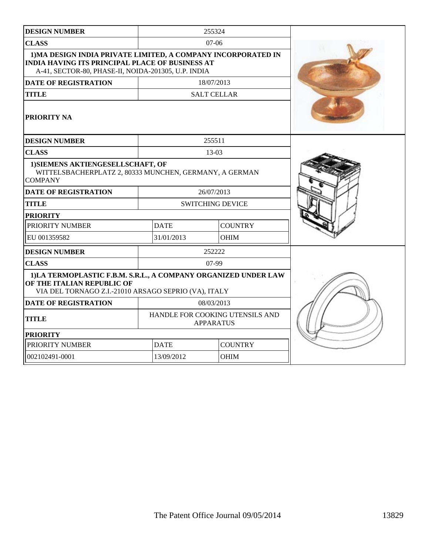| <b>DESIGN NUMBER</b>                                                                                                                                                           |                         | 255324                                              |  |
|--------------------------------------------------------------------------------------------------------------------------------------------------------------------------------|-------------------------|-----------------------------------------------------|--|
| <b>CLASS</b>                                                                                                                                                                   |                         | $07-06$                                             |  |
| 1) MA DESIGN INDIA PRIVATE LIMITED, A COMPANY INCORPORATED IN<br><b>INDIA HAVING ITS PRINCIPAL PLACE OF BUSINESS AT</b><br>A-41, SECTOR-80, PHASE-II, NOIDA-201305, U.P. INDIA |                         |                                                     |  |
| <b>DATE OF REGISTRATION</b>                                                                                                                                                    |                         | 18/07/2013                                          |  |
| <b>TITLE</b>                                                                                                                                                                   |                         | <b>SALT CELLAR</b>                                  |  |
| PRIORITY NA                                                                                                                                                                    |                         |                                                     |  |
| <b>DESIGN NUMBER</b>                                                                                                                                                           |                         | 255511                                              |  |
| <b>CLASS</b>                                                                                                                                                                   |                         | 13-03                                               |  |
| 1) SIEMENS AKTIENGESELLSCHAFT, OF<br>WITTELSBACHERPLATZ 2, 80333 MUNCHEN, GERMANY, A GERMAN<br><b>COMPANY</b>                                                                  |                         |                                                     |  |
| <b>DATE OF REGISTRATION</b>                                                                                                                                                    |                         | 26/07/2013                                          |  |
| <b>TITLE</b>                                                                                                                                                                   | <b>SWITCHING DEVICE</b> |                                                     |  |
| <b>PRIORITY</b>                                                                                                                                                                |                         |                                                     |  |
| PRIORITY NUMBER                                                                                                                                                                | <b>DATE</b>             | <b>COUNTRY</b>                                      |  |
| EU 001359582                                                                                                                                                                   | 31/01/2013              | <b>OHIM</b>                                         |  |
| <b>DESIGN NUMBER</b>                                                                                                                                                           |                         | 252222                                              |  |
| <b>CLASS</b>                                                                                                                                                                   |                         | $07-99$                                             |  |
| 1)LA TERMOPLASTIC F.B.M. S.R.L., A COMPANY ORGANIZED UNDER LAW<br>OF THE ITALIAN REPUBLIC OF<br>VIA DEL TORNAGO Z.I.-21010 ARSAGO SEPRIO (VA), ITALY                           |                         |                                                     |  |
| <b>DATE OF REGISTRATION</b>                                                                                                                                                    |                         | 08/03/2013                                          |  |
| <b>TITLE</b>                                                                                                                                                                   |                         | HANDLE FOR COOKING UTENSILS AND<br><b>APPARATUS</b> |  |
| <b>PRIORITY</b>                                                                                                                                                                |                         |                                                     |  |
| PRIORITY NUMBER                                                                                                                                                                | <b>DATE</b>             | <b>COUNTRY</b>                                      |  |
| 002102491-0001                                                                                                                                                                 | 13/09/2012              | OHIM                                                |  |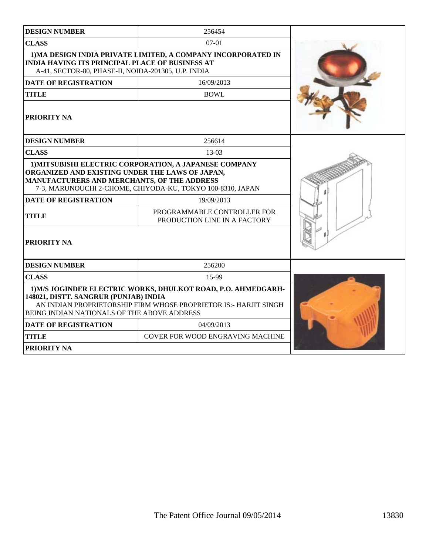| <b>DESIGN NUMBER</b>                                                                                                                                                                                                                                                                        | 256454                                                        |  |
|---------------------------------------------------------------------------------------------------------------------------------------------------------------------------------------------------------------------------------------------------------------------------------------------|---------------------------------------------------------------|--|
| <b>CLASS</b>                                                                                                                                                                                                                                                                                | $07-01$                                                       |  |
| <b>INDIA HAVING ITS PRINCIPAL PLACE OF BUSINESS AT</b><br>A-41, SECTOR-80, PHASE-II, NOIDA-201305, U.P. INDIA                                                                                                                                                                               | 1) MA DESIGN INDIA PRIVATE LIMITED, A COMPANY INCORPORATED IN |  |
| <b>DATE OF REGISTRATION</b>                                                                                                                                                                                                                                                                 | 16/09/2013                                                    |  |
| <b>TITLE</b>                                                                                                                                                                                                                                                                                | <b>BOWL</b>                                                   |  |
| <b>PRIORITY NA</b>                                                                                                                                                                                                                                                                          |                                                               |  |
| <b>DESIGN NUMBER</b>                                                                                                                                                                                                                                                                        | 256614                                                        |  |
| <b>CLASS</b>                                                                                                                                                                                                                                                                                | $13-03$                                                       |  |
| 1) MITSUBISHI ELECTRIC CORPORATION, A JAPANESE COMPANY<br>ORGANIZED AND EXISTING UNDER THE LAWS OF JAPAN,<br>MANUFACTURERS AND MERCHANTS, OF THE ADDRESS<br>7-3, MARUNOUCHI 2-CHOME, CHIYODA-KU, TOKYO 100-8310, JAPAN<br><b>DATE OF REGISTRATION</b><br><b>TITLE</b><br><b>PRIORITY NA</b> |                                                               |  |
| <b>DESIGN NUMBER</b>                                                                                                                                                                                                                                                                        | 256200                                                        |  |
| <b>CLASS</b>                                                                                                                                                                                                                                                                                | 15-99                                                         |  |
| 1) M/S JOGINDER ELECTRIC WORKS, DHULKOT ROAD, P.O. AHMEDGARH-<br>148021, DISTT. SANGRUR (PUNJAB) INDIA<br>AN INDIAN PROPRIETORSHIP FIRM WHOSE PROPRIETOR IS:- HARJIT SINGH<br>BEING INDIAN NATIONALS OF THE ABOVE ADDRESS                                                                   |                                                               |  |
| <b>DATE OF REGISTRATION</b>                                                                                                                                                                                                                                                                 | 04/09/2013                                                    |  |
| <b>TITLE</b>                                                                                                                                                                                                                                                                                | <b>COVER FOR WOOD ENGRAVING MACHINE</b>                       |  |
| PRIORITY NA                                                                                                                                                                                                                                                                                 |                                                               |  |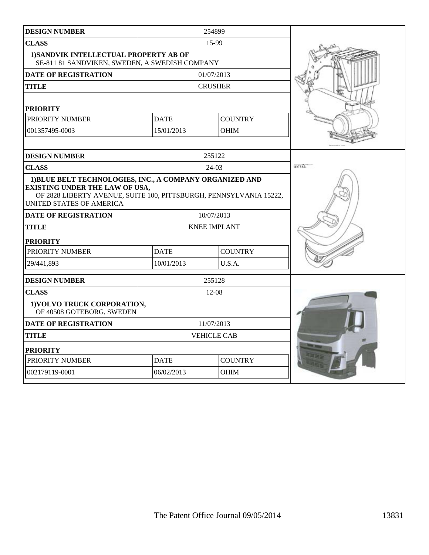| <b>DESIGN NUMBER</b>                                                                                                                                                   |                               | 254899                            |       |
|------------------------------------------------------------------------------------------------------------------------------------------------------------------------|-------------------------------|-----------------------------------|-------|
| <b>CLASS</b>                                                                                                                                                           |                               | 15-99                             |       |
| 1) SANDVIK INTELLECTUAL PROPERTY AB OF<br>SE-811 81 SANDVIKEN, SWEDEN, A SWEDISH COMPANY                                                                               |                               |                                   |       |
| <b>DATE OF REGISTRATION</b>                                                                                                                                            |                               | 01/07/2013                        |       |
| <b>TITLE</b>                                                                                                                                                           |                               | <b>CRUSHER</b>                    |       |
| <b>PRIORITY</b>                                                                                                                                                        |                               |                                   |       |
| PRIORITY NUMBER                                                                                                                                                        | <b>DATE</b>                   | <b>COUNTRY</b>                    |       |
| 001357495-0003                                                                                                                                                         | 15/01/2013                    | <b>OHIM</b>                       |       |
|                                                                                                                                                                        |                               |                                   |       |
| <b>DESIGN NUMBER</b>                                                                                                                                                   |                               | 255122                            |       |
| <b>CLASS</b>                                                                                                                                                           |                               | 24-03                             | 25122 |
| <b>EXISTING UNDER THE LAW OF USA,</b><br>OF 2828 LIBERTY AVENUE, SUITE 100, PITTSBURGH, PENNSYLVANIA 15222,<br>UNITED STATES OF AMERICA<br><b>DATE OF REGISTRATION</b> |                               |                                   |       |
| <b>TITLE</b>                                                                                                                                                           |                               | 10/07/2013<br><b>KNEE IMPLANT</b> |       |
|                                                                                                                                                                        |                               |                                   |       |
| <b>PRIORITY</b><br>PRIORITY NUMBER                                                                                                                                     | <b>DATE</b><br><b>COUNTRY</b> |                                   |       |
| 29/441,893                                                                                                                                                             | 10/01/2013                    | U.S.A.                            |       |
|                                                                                                                                                                        |                               |                                   |       |
| <b>DESIGN NUMBER</b>                                                                                                                                                   |                               | 255128                            |       |
| <b>CLASS</b>                                                                                                                                                           |                               | 12-08                             |       |
| 1) VOLVO TRUCK CORPORATION,<br>OF 40508 GOTEBORG, SWEDEN                                                                                                               |                               |                                   |       |
| <b>DATE OF REGISTRATION</b>                                                                                                                                            |                               | 11/07/2013                        |       |
| <b>TITLE</b>                                                                                                                                                           |                               | <b>VEHICLE CAB</b>                |       |
| <b>PRIORITY</b>                                                                                                                                                        |                               |                                   |       |
| PRIORITY NUMBER                                                                                                                                                        | <b>DATE</b>                   | <b>COUNTRY</b>                    |       |
| 002179119-0001                                                                                                                                                         | 06/02/2013                    | <b>OHIM</b>                       |       |
|                                                                                                                                                                        |                               |                                   |       |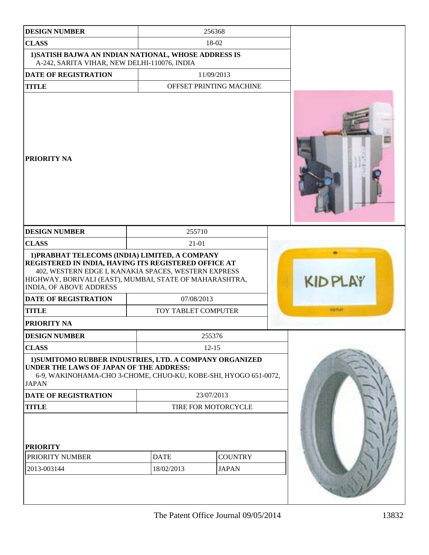| <b>DESIGN NUMBER</b>                                                                                                                                                                                                                                 |                           | 256368                         |                  |
|------------------------------------------------------------------------------------------------------------------------------------------------------------------------------------------------------------------------------------------------------|---------------------------|--------------------------------|------------------|
| <b>CLASS</b>                                                                                                                                                                                                                                         |                           | 18-02                          |                  |
| 1) SATISH BAJWA AN INDIAN NATIONAL, WHOSE ADDRESS IS<br>A-242, SARITA VIHAR, NEW DELHI-110076, INDIA                                                                                                                                                 |                           |                                |                  |
| <b>DATE OF REGISTRATION</b>                                                                                                                                                                                                                          |                           | 11/09/2013                     |                  |
| <b>TITLE</b>                                                                                                                                                                                                                                         |                           | OFFSET PRINTING MACHINE        |                  |
| <b>PRIORITY NA</b>                                                                                                                                                                                                                                   |                           |                                |                  |
| <b>DESIGN NUMBER</b>                                                                                                                                                                                                                                 | 255710                    |                                |                  |
| <b>CLASS</b>                                                                                                                                                                                                                                         | $21 - 01$                 |                                |                  |
| 1) PRABHAT TELECOMS (INDIA) LIMITED, A COMPANY<br>REGISTERED IN INDIA, HAVING ITS REGISTERED OFFICE AT<br>402, WESTERN EDGE I, KANAKIA SPACES, WESTERN EXPRESS<br>HIGHWAY, BORIVALI (EAST), MUMBAI, STATE OF MAHARASHTRA,<br>INDIA, OF ABOVE ADDRESS |                           |                                | <b>KIDPLAY</b>   |
| <b>DATE OF REGISTRATION</b>                                                                                                                                                                                                                          | 07/08/2013                |                                |                  |
| <b>TITLE</b>                                                                                                                                                                                                                                         | TOY TABLET COMPUTER       |                                | <b>NEEDS AND</b> |
| PRIORITY NA                                                                                                                                                                                                                                          |                           |                                |                  |
| <b>DESIGN NUMBER</b>                                                                                                                                                                                                                                 |                           | 255376                         |                  |
| <b>CLASS</b>                                                                                                                                                                                                                                         |                           | $12 - 15$                      |                  |
| 1) SUMITOMO RUBBER INDUSTRIES, LTD. A COMPANY ORGANIZED<br>UNDER THE LAWS OF JAPAN OF THE ADDRESS:<br>6-9, WAKINOHAMA-CHO 3-CHOME, CHUO-KU, KOBE-SHI, HYOGO 651-0072,<br><b>JAPAN</b>                                                                |                           |                                |                  |
| <b>DATE OF REGISTRATION</b>                                                                                                                                                                                                                          |                           | 23/07/2013                     |                  |
| <b>TITLE</b>                                                                                                                                                                                                                                         |                           | TIRE FOR MOTORCYCLE            |                  |
| <b>PRIORITY</b><br>PRIORITY NUMBER<br>2013-003144                                                                                                                                                                                                    | <b>DATE</b><br>18/02/2013 | <b>COUNTRY</b><br><b>JAPAN</b> |                  |
|                                                                                                                                                                                                                                                      |                           |                                |                  |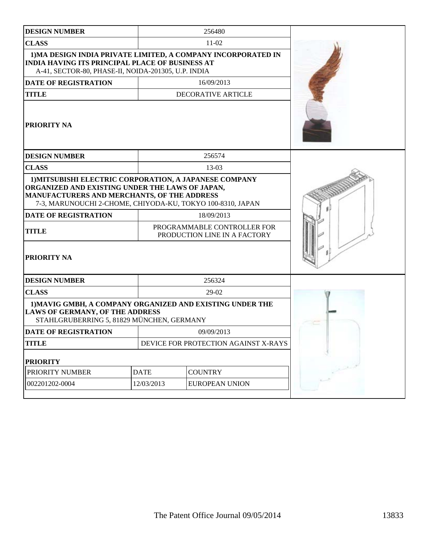| <b>DESIGN NUMBER</b>                                                                                                                                                                                                                                                                        |             | 256480                                                        |  |
|---------------------------------------------------------------------------------------------------------------------------------------------------------------------------------------------------------------------------------------------------------------------------------------------|-------------|---------------------------------------------------------------|--|
| <b>CLASS</b>                                                                                                                                                                                                                                                                                |             | 11-02                                                         |  |
| <b>INDIA HAVING ITS PRINCIPAL PLACE OF BUSINESS AT</b><br>A-41, SECTOR-80, PHASE-II, NOIDA-201305, U.P. INDIA                                                                                                                                                                               |             | 1) MA DESIGN INDIA PRIVATE LIMITED, A COMPANY INCORPORATED IN |  |
| <b>DATE OF REGISTRATION</b>                                                                                                                                                                                                                                                                 |             | 16/09/2013                                                    |  |
| <b>TITLE</b>                                                                                                                                                                                                                                                                                |             | <b>DECORATIVE ARTICLE</b>                                     |  |
| <b>PRIORITY NA</b>                                                                                                                                                                                                                                                                          |             |                                                               |  |
| <b>DESIGN NUMBER</b>                                                                                                                                                                                                                                                                        |             | 256574                                                        |  |
| <b>CLASS</b>                                                                                                                                                                                                                                                                                |             | $13-03$                                                       |  |
| 1) MITSUBISHI ELECTRIC CORPORATION, A JAPANESE COMPANY<br>ORGANIZED AND EXISTING UNDER THE LAWS OF JAPAN,<br>MANUFACTURERS AND MERCHANTS, OF THE ADDRESS<br>7-3, MARUNOUCHI 2-CHOME, CHIYODA-KU, TOKYO 100-8310, JAPAN<br><b>DATE OF REGISTRATION</b><br><b>TITLE</b><br><b>PRIORITY NA</b> |             |                                                               |  |
| <b>DESIGN NUMBER</b>                                                                                                                                                                                                                                                                        |             | 256324                                                        |  |
| <b>CLASS</b>                                                                                                                                                                                                                                                                                |             | 29-02                                                         |  |
| <b>LAWS OF GERMANY, OF THE ADDRESS</b><br>STAHLGRUBERRING 5, 81829 MÜNCHEN, GERMANY                                                                                                                                                                                                         |             | 1) MAVIG GMBH, A COMPANY ORGANIZED AND EXISTING UNDER THE     |  |
| <b>DATE OF REGISTRATION</b>                                                                                                                                                                                                                                                                 |             | 09/09/2013                                                    |  |
| <b>TITLE</b>                                                                                                                                                                                                                                                                                |             | DEVICE FOR PROTECTION AGAINST X-RAYS                          |  |
| <b>PRIORITY</b>                                                                                                                                                                                                                                                                             |             |                                                               |  |
| PRIORITY NUMBER                                                                                                                                                                                                                                                                             | <b>DATE</b> | <b>COUNTRY</b>                                                |  |
| 002201202-0004                                                                                                                                                                                                                                                                              | 12/03/2013  | <b>EUROPEAN UNION</b>                                         |  |
|                                                                                                                                                                                                                                                                                             |             |                                                               |  |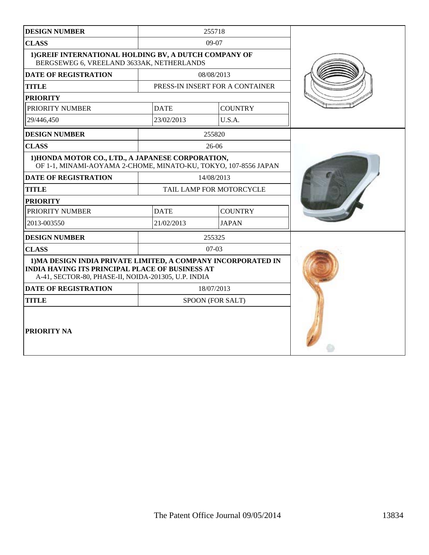| <b>DESIGN NUMBER</b>                                                                                                                                                           |             | 255718                          |  |
|--------------------------------------------------------------------------------------------------------------------------------------------------------------------------------|-------------|---------------------------------|--|
| <b>CLASS</b>                                                                                                                                                                   |             | 09-07                           |  |
| 1)GREIF INTERNATIONAL HOLDING BV, A DUTCH COMPANY OF<br>BERGSEWEG 6, VREELAND 3633AK, NETHERLANDS                                                                              |             |                                 |  |
| <b>DATE OF REGISTRATION</b>                                                                                                                                                    |             | 08/08/2013                      |  |
| <b>TITLE</b>                                                                                                                                                                   |             | PRESS-IN INSERT FOR A CONTAINER |  |
| <b>PRIORITY</b>                                                                                                                                                                |             |                                 |  |
| PRIORITY NUMBER                                                                                                                                                                | <b>DATE</b> | <b>COUNTRY</b>                  |  |
| 29/446,450                                                                                                                                                                     | 23/02/2013  | U.S.A.                          |  |
| <b>DESIGN NUMBER</b>                                                                                                                                                           |             | 255820                          |  |
| <b>CLASS</b>                                                                                                                                                                   |             | $26-06$                         |  |
| 1) HONDA MOTOR CO., LTD., A JAPANESE CORPORATION,<br>OF 1-1, MINAMI-AOYAMA 2-CHOME, MINATO-KU, TOKYO, 107-8556 JAPAN                                                           |             |                                 |  |
| <b>DATE OF REGISTRATION</b>                                                                                                                                                    |             | 14/08/2013                      |  |
| <b>TITLE</b>                                                                                                                                                                   |             | TAIL LAMP FOR MOTORCYCLE        |  |
| <b>PRIORITY</b>                                                                                                                                                                |             |                                 |  |
| PRIORITY NUMBER                                                                                                                                                                | <b>DATE</b> | <b>COUNTRY</b>                  |  |
| 2013-003550                                                                                                                                                                    | 21/02/2013  | <b>JAPAN</b>                    |  |
| <b>DESIGN NUMBER</b>                                                                                                                                                           |             | 255325                          |  |
| <b>CLASS</b>                                                                                                                                                                   |             | $07-03$                         |  |
| 1) MA DESIGN INDIA PRIVATE LIMITED, A COMPANY INCORPORATED IN<br><b>INDIA HAVING ITS PRINCIPAL PLACE OF BUSINESS AT</b><br>A-41, SECTOR-80, PHASE-II, NOIDA-201305, U.P. INDIA |             |                                 |  |
| <b>DATE OF REGISTRATION</b>                                                                                                                                                    |             | 18/07/2013                      |  |
| <b>TITLE</b>                                                                                                                                                                   |             | SPOON (FOR SALT)                |  |
| PRIORITY NA                                                                                                                                                                    |             |                                 |  |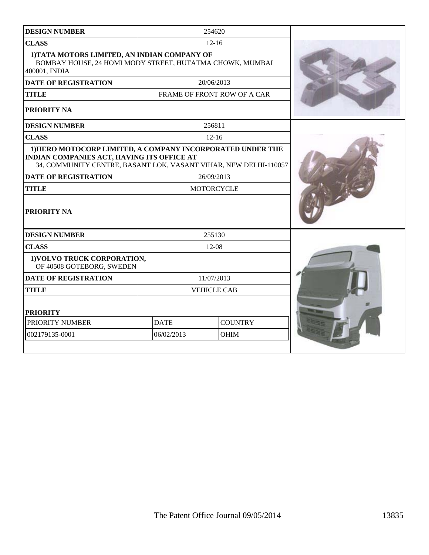| <b>DESIGN NUMBER</b>                                                                                                                                                         |             | 254620                      |  |
|------------------------------------------------------------------------------------------------------------------------------------------------------------------------------|-------------|-----------------------------|--|
| <b>CLASS</b>                                                                                                                                                                 |             | $12 - 16$                   |  |
| 1) TATA MOTORS LIMITED, AN INDIAN COMPANY OF<br>BOMBAY HOUSE, 24 HOMI MODY STREET, HUTATMA CHOWK, MUMBAI<br>400001, INDIA                                                    |             |                             |  |
| <b>DATE OF REGISTRATION</b>                                                                                                                                                  |             | 20/06/2013                  |  |
| <b>TITLE</b>                                                                                                                                                                 |             | FRAME OF FRONT ROW OF A CAR |  |
| PRIORITY NA                                                                                                                                                                  |             |                             |  |
| <b>DESIGN NUMBER</b>                                                                                                                                                         |             | 256811                      |  |
| <b>CLASS</b>                                                                                                                                                                 |             | $12 - 16$                   |  |
| 1) HERO MOTOCORP LIMITED, A COMPANY INCORPORATED UNDER THE<br>INDIAN COMPANIES ACT, HAVING ITS OFFICE AT<br>34, COMMUNITY CENTRE, BASANT LOK, VASANT VIHAR, NEW DELHI-110057 |             |                             |  |
| <b>DATE OF REGISTRATION</b>                                                                                                                                                  |             | 26/09/2013                  |  |
| <b>TITLE</b>                                                                                                                                                                 |             | <b>MOTORCYCLE</b>           |  |
| PRIORITY NA                                                                                                                                                                  |             |                             |  |
| <b>DESIGN NUMBER</b>                                                                                                                                                         |             | 255130                      |  |
| <b>CLASS</b>                                                                                                                                                                 |             | 12-08                       |  |
| 1) VOLVO TRUCK CORPORATION,<br>OF 40508 GOTEBORG, SWEDEN                                                                                                                     |             |                             |  |
| <b>DATE OF REGISTRATION</b>                                                                                                                                                  |             | 11/07/2013                  |  |
| <b>TITLE</b>                                                                                                                                                                 |             | <b>VEHICLE CAB</b>          |  |
| <b>PRIORITY</b>                                                                                                                                                              |             |                             |  |
| PRIORITY NUMBER                                                                                                                                                              | <b>DATE</b> | <b>COUNTRY</b>              |  |
| 002179135-0001                                                                                                                                                               | 06/02/2013  | <b>OHIM</b>                 |  |
|                                                                                                                                                                              |             |                             |  |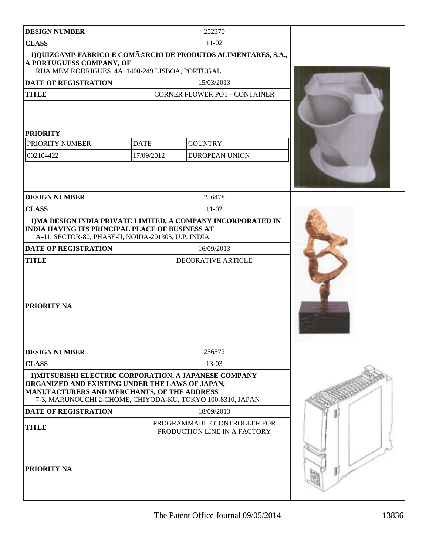| <b>DESIGN NUMBER</b>                                                                                                                                                                                                   |                           | 252370                                                        |  |
|------------------------------------------------------------------------------------------------------------------------------------------------------------------------------------------------------------------------|---------------------------|---------------------------------------------------------------|--|
| <b>CLASS</b>                                                                                                                                                                                                           |                           | $11-02$                                                       |  |
| A PORTUGUESS COMPANY, OF<br>RUA MEM RODRIGUES, 4A, 1400-249 LISBOA, PORTUGAL                                                                                                                                           |                           | 1) QUIZCAMP-FABRICO E COMéRCIO DE PRODUTOS ALIMENTARES, S.A., |  |
| <b>DATE OF REGISTRATION</b>                                                                                                                                                                                            |                           | 15/03/2013                                                    |  |
| <b>TITLE</b>                                                                                                                                                                                                           |                           | <b>CORNER FLOWER POT - CONTAINER</b>                          |  |
| <b>PRIORITY</b><br>PRIORITY NUMBER<br>002104422                                                                                                                                                                        | <b>DATE</b><br>17/09/2012 | <b>COUNTRY</b><br><b>EUROPEAN UNION</b>                       |  |
| <b>DESIGN NUMBER</b>                                                                                                                                                                                                   |                           | 256478                                                        |  |
| <b>CLASS</b>                                                                                                                                                                                                           |                           | $11-02$                                                       |  |
| <b>INDIA HAVING ITS PRINCIPAL PLACE OF BUSINESS AT</b><br>A-41, SECTOR-80, PHASE-II, NOIDA-201305, U.P. INDIA                                                                                                          |                           | 1) MA DESIGN INDIA PRIVATE LIMITED, A COMPANY INCORPORATED IN |  |
| <b>DATE OF REGISTRATION</b>                                                                                                                                                                                            |                           | 16/09/2013                                                    |  |
| <b>TITLE</b>                                                                                                                                                                                                           |                           | <b>DECORATIVE ARTICLE</b>                                     |  |
| <b>PRIORITY NA</b>                                                                                                                                                                                                     |                           |                                                               |  |
| <b>DESIGN NUMBER</b>                                                                                                                                                                                                   |                           | 256572                                                        |  |
| <b>CLASS</b>                                                                                                                                                                                                           |                           | 13-03                                                         |  |
| 1) MITSUBISHI ELECTRIC CORPORATION, A JAPANESE COMPANY<br>ORGANIZED AND EXISTING UNDER THE LAWS OF JAPAN,<br>MANUFACTURERS AND MERCHANTS, OF THE ADDRESS<br>7-3, MARUNOUCHI 2-CHOME, CHIYODA-KU, TOKYO 100-8310, JAPAN |                           |                                                               |  |
| <b>DATE OF REGISTRATION</b>                                                                                                                                                                                            |                           | 18/09/2013                                                    |  |
| <b>TITLE</b>                                                                                                                                                                                                           |                           |                                                               |  |
| PRIORITY NA                                                                                                                                                                                                            |                           |                                                               |  |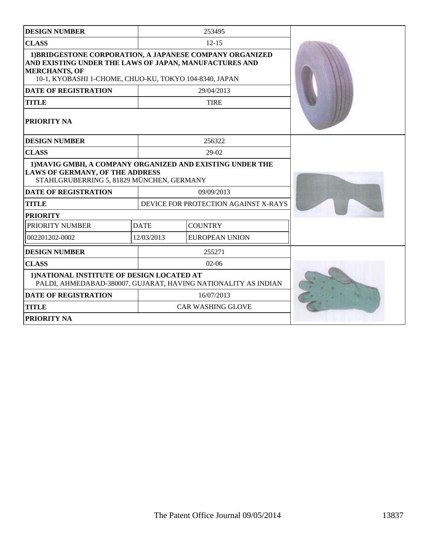| <b>DESIGN NUMBER</b>                                                                                                                             |             | 253495                                                   |  |
|--------------------------------------------------------------------------------------------------------------------------------------------------|-------------|----------------------------------------------------------|--|
| <b>CLASS</b>                                                                                                                                     |             | $12 - 15$                                                |  |
| AND EXISTING UNDER THE LAWS OF JAPAN, MANUFACTURES AND<br><b>MERCHANTS, OF</b><br>10-1, KYOBASHI 1-CHOME, CHUO-KU, TOKYO 104-8340, JAPAN         |             | 1) BRIDGESTONE CORPORATION, A JAPANESE COMPANY ORGANIZED |  |
| <b>DATE OF REGISTRATION</b>                                                                                                                      |             | 29/04/2013                                               |  |
| <b>TITLE</b>                                                                                                                                     |             | <b>TIRE</b>                                              |  |
| PRIORITY NA                                                                                                                                      |             |                                                          |  |
| <b>DESIGN NUMBER</b>                                                                                                                             |             | 256322                                                   |  |
| <b>CLASS</b>                                                                                                                                     |             | 29-02                                                    |  |
| 1) MAVIG GMBH, A COMPANY ORGANIZED AND EXISTING UNDER THE<br><b>LAWS OF GERMANY, OF THE ADDRESS</b><br>STAHLGRUBERRING 5, 81829 MÜNCHEN, GERMANY |             |                                                          |  |
| <b>DATE OF REGISTRATION</b>                                                                                                                      |             | 09/09/2013                                               |  |
| <b>TITLE</b>                                                                                                                                     |             | DEVICE FOR PROTECTION AGAINST X-RAYS                     |  |
| <b>PRIORITY</b>                                                                                                                                  |             |                                                          |  |
| PRIORITY NUMBER                                                                                                                                  | <b>DATE</b> | <b>COUNTRY</b>                                           |  |
| 002201202-0002                                                                                                                                   | 12/03/2013  | <b>EUROPEAN UNION</b>                                    |  |
| <b>DESIGN NUMBER</b>                                                                                                                             |             | 255271                                                   |  |
| <b>CLASS</b>                                                                                                                                     |             | $02 - 06$                                                |  |
| 1) NATIONAL INSTITUTE OF DESIGN LOCATED AT<br>PALDI, AHMEDABAD-380007, GUJARAT, HAVING NATIONALITY AS INDIAN                                     |             |                                                          |  |
| <b>DATE OF REGISTRATION</b>                                                                                                                      |             | 16/07/2013                                               |  |
| <b>TITLE</b>                                                                                                                                     |             | <b>CAR WASHING GLOVE</b>                                 |  |
| PRIORITY NA                                                                                                                                      |             |                                                          |  |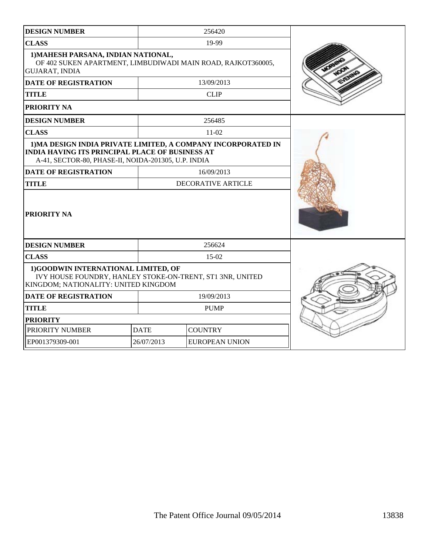| <b>DESIGN NUMBER</b>                                                                                                                                                           |                                     | 256420                    |  |
|--------------------------------------------------------------------------------------------------------------------------------------------------------------------------------|-------------------------------------|---------------------------|--|
| <b>CLASS</b>                                                                                                                                                                   |                                     | 19-99                     |  |
| 1) MAHESH PARSANA, INDIAN NATIONAL,<br>OF 402 SUKEN APARTMENT, LIMBUDIWADI MAIN ROAD, RAJKOT360005,<br><b>GUJARAT, INDIA</b>                                                   |                                     |                           |  |
| <b>DATE OF REGISTRATION</b>                                                                                                                                                    |                                     | 13/09/2013                |  |
| <b>TITLE</b>                                                                                                                                                                   |                                     | <b>CLIP</b>               |  |
| <b>PRIORITY NA</b>                                                                                                                                                             |                                     |                           |  |
| <b>DESIGN NUMBER</b>                                                                                                                                                           |                                     | 256485                    |  |
| <b>CLASS</b>                                                                                                                                                                   |                                     | $11-02$                   |  |
| 1) MA DESIGN INDIA PRIVATE LIMITED, A COMPANY INCORPORATED IN<br><b>INDIA HAVING ITS PRINCIPAL PLACE OF BUSINESS AT</b><br>A-41, SECTOR-80, PHASE-II, NOIDA-201305, U.P. INDIA |                                     |                           |  |
| <b>DATE OF REGISTRATION</b>                                                                                                                                                    |                                     |                           |  |
| <b>TITLE</b>                                                                                                                                                                   |                                     | <b>DECORATIVE ARTICLE</b> |  |
| <b>PRIORITY NA</b>                                                                                                                                                             |                                     |                           |  |
| <b>DESIGN NUMBER</b>                                                                                                                                                           |                                     | 256624                    |  |
| <b>CLASS</b>                                                                                                                                                                   |                                     | 15-02                     |  |
| 1)GOODWIN INTERNATIONAL LIMITED, OF<br>IVY HOUSE FOUNDRY, HANLEY STOKE-ON-TRENT, ST1 3NR, UNITED<br>KINGDOM; NATIONALITY: UNITED KINGDOM                                       |                                     |                           |  |
| <b>DATE OF REGISTRATION</b>                                                                                                                                                    | 19/09/2013                          |                           |  |
| <b>TITLE</b>                                                                                                                                                                   | <b>PUMP</b>                         |                           |  |
| <b>PRIORITY</b>                                                                                                                                                                |                                     |                           |  |
| PRIORITY NUMBER                                                                                                                                                                | <b>DATE</b>                         | <b>COUNTRY</b>            |  |
| EP001379309-001                                                                                                                                                                | 26/07/2013<br><b>EUROPEAN UNION</b> |                           |  |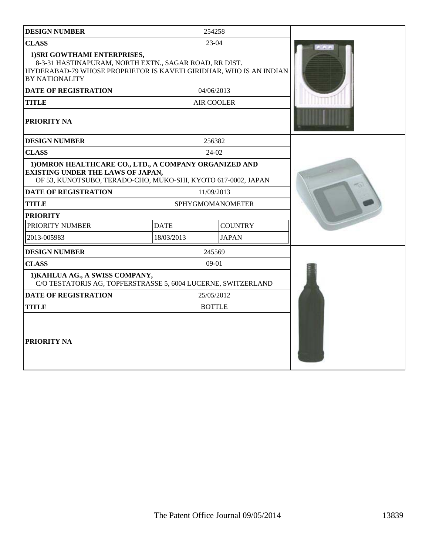| <b>DESIGN NUMBER</b>                                                                                                                                                                                                 |                  | 254258            |  |
|----------------------------------------------------------------------------------------------------------------------------------------------------------------------------------------------------------------------|------------------|-------------------|--|
| <b>CLASS</b>                                                                                                                                                                                                         |                  | 23-04             |  |
| 1) SRI GOWTHAMI ENTERPRISES,<br>8-3-31 HASTINAPURAM, NORTH EXTN., SAGAR ROAD, RR DIST.<br>HYDERABAD-79 WHOSE PROPRIETOR IS KAVETI GIRIDHAR, WHO IS AN INDIAN<br><b>BY NATIONALITY</b><br><b>DATE OF REGISTRATION</b> |                  | 04/06/2013        |  |
| <b>TITLE</b>                                                                                                                                                                                                         |                  | <b>AIR COOLER</b> |  |
| <b>PRIORITY NA</b>                                                                                                                                                                                                   |                  |                   |  |
| <b>DESIGN NUMBER</b>                                                                                                                                                                                                 |                  | 256382            |  |
| <b>CLASS</b>                                                                                                                                                                                                         |                  | $24-02$           |  |
| 1) OMRON HEALTHCARE CO., LTD., A COMPANY ORGANIZED AND<br>EXISTING UNDER THE LAWS OF JAPAN,<br>OF 53, KUNOTSUBO, TERADO-CHO, MUKO-SHI, KYOTO 617-0002, JAPAN                                                         |                  |                   |  |
| <b>DATE OF REGISTRATION</b>                                                                                                                                                                                          | 11/09/2013       |                   |  |
| <b>TITLE</b>                                                                                                                                                                                                         | SPHYGMOMANOMETER |                   |  |
| <b>PRIORITY</b>                                                                                                                                                                                                      |                  |                   |  |
| PRIORITY NUMBER                                                                                                                                                                                                      | <b>DATE</b>      | <b>COUNTRY</b>    |  |
| 2013-005983                                                                                                                                                                                                          | 18/03/2013       | <b>JAPAN</b>      |  |
| <b>DESIGN NUMBER</b>                                                                                                                                                                                                 |                  | 245569            |  |
| <b>CLASS</b>                                                                                                                                                                                                         |                  | $09-01$           |  |
| 1) KAHLUA AG., A SWISS COMPANY,<br>C/O TESTATORIS AG, TOPFERSTRASSE 5, 6004 LUCERNE, SWITZERLAND                                                                                                                     |                  |                   |  |
| <b>DATE OF REGISTRATION</b>                                                                                                                                                                                          |                  | 25/05/2012        |  |
| <b>TITLE</b>                                                                                                                                                                                                         |                  | <b>BOTTLE</b>     |  |
| PRIORITY NA                                                                                                                                                                                                          |                  |                   |  |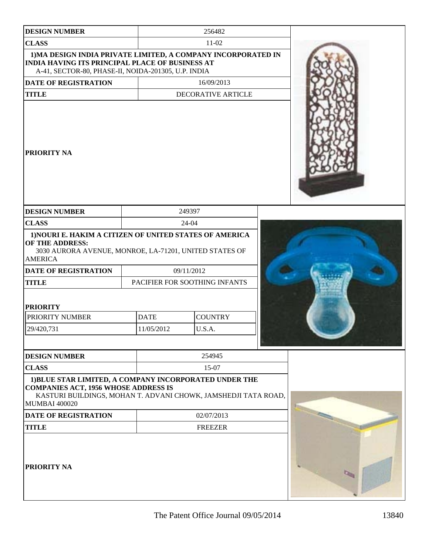| <b>DESIGN NUMBER</b>                                                                                                                                                                            |             | 256482                        |  |
|-------------------------------------------------------------------------------------------------------------------------------------------------------------------------------------------------|-------------|-------------------------------|--|
| <b>CLASS</b>                                                                                                                                                                                    |             | 11-02                         |  |
| 1) MA DESIGN INDIA PRIVATE LIMITED, A COMPANY INCORPORATED IN<br><b>INDIA HAVING ITS PRINCIPAL PLACE OF BUSINESS AT</b><br>A-41, SECTOR-80, PHASE-II, NOIDA-201305, U.P. INDIA                  |             |                               |  |
| <b>DATE OF REGISTRATION</b>                                                                                                                                                                     |             | 16/09/2013                    |  |
| <b>TITLE</b>                                                                                                                                                                                    |             | DECORATIVE ARTICLE            |  |
| <b>PRIORITY NA</b>                                                                                                                                                                              |             |                               |  |
| <b>DESIGN NUMBER</b>                                                                                                                                                                            |             | 249397                        |  |
| <b>CLASS</b>                                                                                                                                                                                    |             | 24-04                         |  |
| 1) NOURI E. HAKIM A CITIZEN OF UNITED STATES OF AMERICA<br>OF THE ADDRESS:<br>3030 AURORA AVENUE, MONROE, LA-71201, UNITED STATES OF<br><b>AMERICA</b>                                          |             |                               |  |
| <b>DATE OF REGISTRATION</b>                                                                                                                                                                     |             | 09/11/2012                    |  |
| <b>TITLE</b>                                                                                                                                                                                    |             | PACIFIER FOR SOOTHING INFANTS |  |
| <b>PRIORITY</b>                                                                                                                                                                                 |             |                               |  |
| PRIORITY NUMBER                                                                                                                                                                                 | <b>DATE</b> | <b>COUNTRY</b>                |  |
| 29/420,731                                                                                                                                                                                      | 11/05/2012  | U.S.A.                        |  |
|                                                                                                                                                                                                 |             |                               |  |
| <b>DESIGN NUMBER</b>                                                                                                                                                                            |             | 254945                        |  |
| <b>CLASS</b>                                                                                                                                                                                    |             | 15-07                         |  |
| 1) BLUE STAR LIMITED, A COMPANY INCORPORATED UNDER THE<br><b>COMPANIES ACT, 1956 WHOSE ADDRESS IS</b><br>KASTURI BUILDINGS, MOHAN T. ADVANI CHOWK, JAMSHEDJI TATA ROAD,<br><b>MUMBAI 400020</b> |             |                               |  |
| DATE OF REGISTRATION                                                                                                                                                                            |             | 02/07/2013                    |  |
| <b>TITLE</b>                                                                                                                                                                                    |             | <b>FREEZER</b>                |  |
| PRIORITY NA                                                                                                                                                                                     |             |                               |  |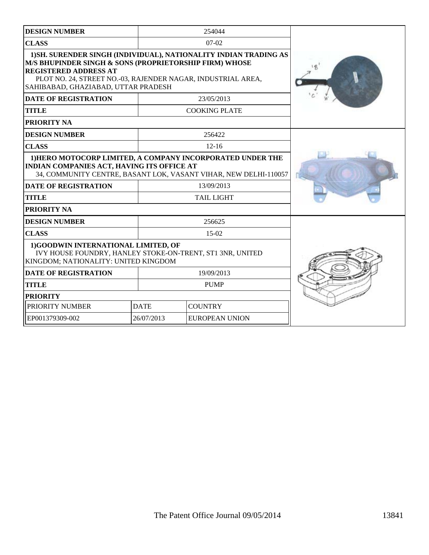| <b>DESIGN NUMBER</b>                                                                                                                                                                                                                                               |                               | 254044               |  |
|--------------------------------------------------------------------------------------------------------------------------------------------------------------------------------------------------------------------------------------------------------------------|-------------------------------|----------------------|--|
| <b>CLASS</b>                                                                                                                                                                                                                                                       | $07-02$                       |                      |  |
| 1) SH. SURENDER SINGH (INDIVIDUAL), NATIONALITY INDIAN TRADING AS<br>M/S BHUPINDER SINGH & SONS (PROPRIETORSHIP FIRM) WHOSE<br><b>REGISTERED ADDRESS AT</b><br>PLOT NO. 24, STREET NO.-03, RAJENDER NAGAR, INDUSTRIAL AREA,<br>SAHIBABAD, GHAZIABAD, UTTAR PRADESH |                               |                      |  |
| <b>DATE OF REGISTRATION</b>                                                                                                                                                                                                                                        |                               | 23/05/2013           |  |
| <b>TITLE</b>                                                                                                                                                                                                                                                       |                               | <b>COOKING PLATE</b> |  |
| <b>PRIORITY NA</b>                                                                                                                                                                                                                                                 |                               |                      |  |
| <b>DESIGN NUMBER</b>                                                                                                                                                                                                                                               |                               | 256422               |  |
| <b>CLASS</b>                                                                                                                                                                                                                                                       |                               | $12 - 16$            |  |
| 1) HERO MOTOCORP LIMITED, A COMPANY INCORPORATED UNDER THE<br>INDIAN COMPANIES ACT, HAVING ITS OFFICE AT<br>34, COMMUNITY CENTRE, BASANT LOK, VASANT VIHAR, NEW DELHI-110057                                                                                       |                               |                      |  |
| <b>DATE OF REGISTRATION</b>                                                                                                                                                                                                                                        |                               |                      |  |
| <b>TITLE</b><br><b>TAIL LIGHT</b>                                                                                                                                                                                                                                  |                               |                      |  |
| <b>PRIORITY NA</b>                                                                                                                                                                                                                                                 |                               |                      |  |
| <b>DESIGN NUMBER</b>                                                                                                                                                                                                                                               |                               | 256625               |  |
| <b>CLASS</b>                                                                                                                                                                                                                                                       |                               | $15-02$              |  |
| 1)GOODWIN INTERNATIONAL LIMITED, OF<br>IVY HOUSE FOUNDRY, HANLEY STOKE-ON-TRENT, ST1 3NR, UNITED<br>KINGDOM; NATIONALITY: UNITED KINGDOM                                                                                                                           |                               |                      |  |
| <b>DATE OF REGISTRATION</b>                                                                                                                                                                                                                                        |                               |                      |  |
| <b>TITLE</b>                                                                                                                                                                                                                                                       |                               | <b>PUMP</b>          |  |
| <b>PRIORITY</b>                                                                                                                                                                                                                                                    |                               |                      |  |
| PRIORITY NUMBER                                                                                                                                                                                                                                                    | <b>DATE</b><br><b>COUNTRY</b> |                      |  |
| EP001379309-002                                                                                                                                                                                                                                                    | 26/07/2013                    | EUROPEAN UNION       |  |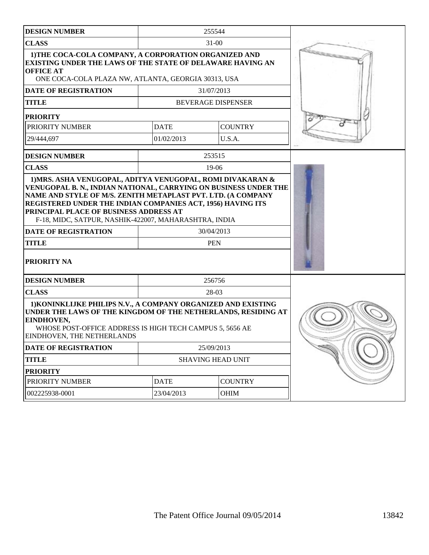| <b>DESIGN NUMBER</b>                                                                                                                                                                                                                   |                               | 255544                    |  |
|----------------------------------------------------------------------------------------------------------------------------------------------------------------------------------------------------------------------------------------|-------------------------------|---------------------------|--|
| <b>CLASS</b>                                                                                                                                                                                                                           |                               | 31-00                     |  |
| 1) THE COCA-COLA COMPANY, A CORPORATION ORGANIZED AND<br><b>EXISTING UNDER THE LAWS OF THE STATE OF DELAWARE HAVING AN</b><br><b>OFFICE AT</b><br>ONE COCA-COLA PLAZA NW, ATLANTA, GEORGIA 30313, USA                                  |                               |                           |  |
| <b>DATE OF REGISTRATION</b>                                                                                                                                                                                                            |                               | 31/07/2013                |  |
| <b>TITLE</b>                                                                                                                                                                                                                           |                               | <b>BEVERAGE DISPENSER</b> |  |
| <b>PRIORITY</b>                                                                                                                                                                                                                        |                               |                           |  |
| PRIORITY NUMBER                                                                                                                                                                                                                        | <b>DATE</b>                   | <b>COUNTRY</b>            |  |
| 29/444,697                                                                                                                                                                                                                             | 01/02/2013                    | U.S.A.                    |  |
| <b>DESIGN NUMBER</b>                                                                                                                                                                                                                   |                               | 253515                    |  |
| <b>CLASS</b>                                                                                                                                                                                                                           |                               | 19-06                     |  |
| NAME AND STYLE OF M/S. ZENITH METAPLAST PVT. LTD. (A COMPANY<br>REGISTERED UNDER THE INDIAN COMPANIES ACT, 1956) HAVING ITS<br>PRINCIPAL PLACE OF BUSINESS ADDRESS AT<br>F-18, MIDC, SATPUR, NASHIK-422007, MAHARASHTRA, INDIA         |                               |                           |  |
| <b>DATE OF REGISTRATION</b>                                                                                                                                                                                                            | 30/04/2013                    |                           |  |
| <b>TITLE</b>                                                                                                                                                                                                                           |                               | <b>PEN</b>                |  |
| PRIORITY NA                                                                                                                                                                                                                            |                               |                           |  |
| <b>DESIGN NUMBER</b>                                                                                                                                                                                                                   |                               | 256756                    |  |
| <b>CLASS</b>                                                                                                                                                                                                                           |                               | 28-03                     |  |
| 1) KONINKLIJKE PHILIPS N.V., A COMPANY ORGANIZED AND EXISTING<br>UNDER THE LAWS OF THE KINGDOM OF THE NETHERLANDS, RESIDING AT<br>EINDHOVEN,<br>WHOSE POST-OFFICE ADDRESS IS HIGH TECH CAMPUS 5, 5656 AE<br>EINDHOVEN, THE NETHERLANDS |                               |                           |  |
| DATE OF REGISTRATION                                                                                                                                                                                                                   |                               | 25/09/2013                |  |
| <b>TITLE</b>                                                                                                                                                                                                                           | <b>SHAVING HEAD UNIT</b>      |                           |  |
| <b>PRIORITY</b>                                                                                                                                                                                                                        |                               |                           |  |
| PRIORITY NUMBER                                                                                                                                                                                                                        | <b>DATE</b><br><b>COUNTRY</b> |                           |  |
| 002225938-0001                                                                                                                                                                                                                         | 23/04/2013<br><b>OHIM</b>     |                           |  |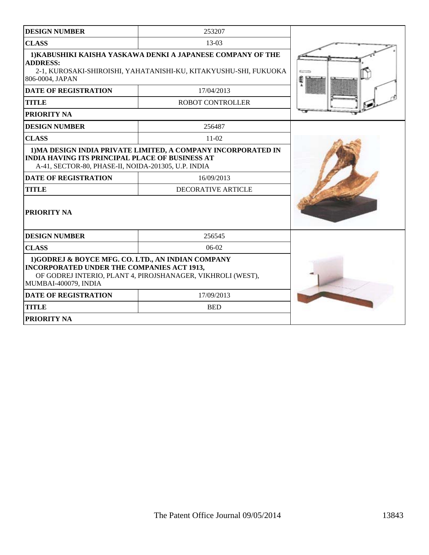| <b>DESIGN NUMBER</b>                                                                                                                                                                                                          | 253207                                                                                                                          |  |
|-------------------------------------------------------------------------------------------------------------------------------------------------------------------------------------------------------------------------------|---------------------------------------------------------------------------------------------------------------------------------|--|
| <b>CLASS</b>                                                                                                                                                                                                                  | $13-03$                                                                                                                         |  |
| <b>ADDRESS:</b><br>806-0004, JAPAN                                                                                                                                                                                            | 1) KABUSHIKI KAISHA YASKAWA DENKI A JAPANESE COMPANY OF THE<br>2-1, KUROSAKI-SHIROISHI, YAHATANISHI-KU, KITAKYUSHU-SHI, FUKUOKA |  |
| <b>DATE OF REGISTRATION</b>                                                                                                                                                                                                   | 17/04/2013                                                                                                                      |  |
| <b>TITLE</b>                                                                                                                                                                                                                  | <b>ROBOT CONTROLLER</b>                                                                                                         |  |
| PRIORITY NA                                                                                                                                                                                                                   |                                                                                                                                 |  |
| <b>DESIGN NUMBER</b>                                                                                                                                                                                                          | 256487                                                                                                                          |  |
| <b>CLASS</b>                                                                                                                                                                                                                  | $11-02$                                                                                                                         |  |
| 1) MA DESIGN INDIA PRIVATE LIMITED, A COMPANY INCORPORATED IN<br><b>INDIA HAVING ITS PRINCIPAL PLACE OF BUSINESS AT</b><br>A-41, SECTOR-80, PHASE-II, NOIDA-201305, U.P. INDIA<br><b>DATE OF REGISTRATION</b><br><b>TITLE</b> |                                                                                                                                 |  |
| PRIORITY NA<br><b>DESIGN NUMBER</b>                                                                                                                                                                                           | 256545                                                                                                                          |  |
| <b>CLASS</b>                                                                                                                                                                                                                  | $06-02$                                                                                                                         |  |
| 1)GODREJ & BOYCE MFG. CO. LTD., AN INDIAN COMPANY<br><b>INCORPORATED UNDER THE COMPANIES ACT 1913,</b><br>OF GODREJ INTERIO, PLANT 4, PIROJSHANAGER, VIKHROLI (WEST),<br>MUMBAI-400079, INDIA                                 |                                                                                                                                 |  |
| <b>DATE OF REGISTRATION</b>                                                                                                                                                                                                   | 17/09/2013                                                                                                                      |  |
| <b>TITLE</b>                                                                                                                                                                                                                  | <b>BED</b>                                                                                                                      |  |
| <b>PRIORITY NA</b>                                                                                                                                                                                                            |                                                                                                                                 |  |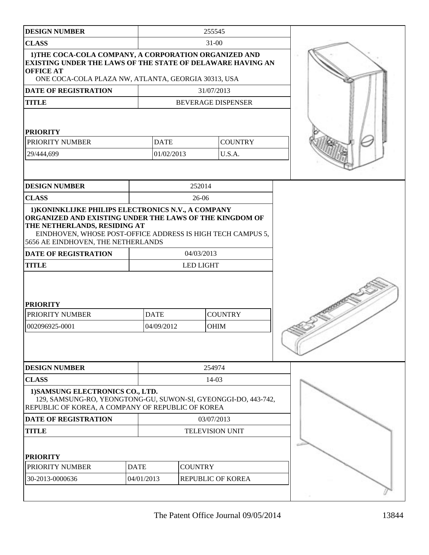| <b>DESIGN NUMBER</b>                                                                                                                                                                                  |             |                           |                  | 255545                        |  |
|-------------------------------------------------------------------------------------------------------------------------------------------------------------------------------------------------------|-------------|---------------------------|------------------|-------------------------------|--|
| <b>CLASS</b>                                                                                                                                                                                          |             | 31-00                     |                  |                               |  |
| 1) THE COCA-COLA COMPANY, A CORPORATION ORGANIZED AND<br><b>EXISTING UNDER THE LAWS OF THE STATE OF DELAWARE HAVING AN</b><br><b>OFFICE AT</b><br>ONE COCA-COLA PLAZA NW, ATLANTA, GEORGIA 30313, USA |             |                           |                  |                               |  |
| <b>DATE OF REGISTRATION</b>                                                                                                                                                                           |             |                           |                  | 31/07/2013                    |  |
| <b>TITLE</b>                                                                                                                                                                                          |             |                           |                  | <b>BEVERAGE DISPENSER</b>     |  |
| <b>PRIORITY</b>                                                                                                                                                                                       |             |                           |                  |                               |  |
| PRIORITY NUMBER                                                                                                                                                                                       |             | <b>DATE</b>               |                  | <b>COUNTRY</b>                |  |
| 29/444,699                                                                                                                                                                                            |             | 01/02/2013                |                  | U.S.A.                        |  |
|                                                                                                                                                                                                       |             |                           |                  |                               |  |
| <b>DESIGN NUMBER</b>                                                                                                                                                                                  |             |                           | 252014           |                               |  |
| <b>CLASS</b>                                                                                                                                                                                          |             |                           | 26-06            |                               |  |
| ORGANIZED AND EXISTING UNDER THE LAWS OF THE KINGDOM OF<br>THE NETHERLANDS, RESIDING AT<br>EINDHOVEN, WHOSE POST-OFFICE ADDRESS IS HIGH TECH CAMPUS 5,<br>5656 AE EINDHOVEN, THE NETHERLANDS          |             |                           |                  |                               |  |
| <b>DATE OF REGISTRATION</b>                                                                                                                                                                           |             | 04/03/2013                |                  |                               |  |
| <b>TITLE</b>                                                                                                                                                                                          |             |                           | <b>LED LIGHT</b> |                               |  |
| <b>PRIORITY</b><br>PRIORITY NUMBER<br>002096925-0001                                                                                                                                                  |             | <b>DATE</b><br>04/09/2012 |                  | <b>COUNTRY</b><br><b>OHIM</b> |  |
| <b>DESIGN NUMBER</b>                                                                                                                                                                                  |             |                           |                  | 254974                        |  |
| <b>CLASS</b>                                                                                                                                                                                          |             |                           |                  | 14-03                         |  |
| 1) SAMSUNG ELECTRONICS CO., LTD.<br>129, SAMSUNG-RO, YEONGTONG-GU, SUWON-SI, GYEONGGI-DO, 443-742,<br>REPUBLIC OF KOREA, A COMPANY OF REPUBLIC OF KOREA                                               |             |                           |                  |                               |  |
| <b>DATE OF REGISTRATION</b>                                                                                                                                                                           |             |                           |                  | 03/07/2013                    |  |
| <b>TITLE</b>                                                                                                                                                                                          |             |                           |                  | TELEVISION UNIT               |  |
| <b>PRIORITY</b>                                                                                                                                                                                       |             |                           |                  |                               |  |
| PRIORITY NUMBER                                                                                                                                                                                       | <b>DATE</b> |                           | <b>COUNTRY</b>   |                               |  |
| 30-2013-0000636                                                                                                                                                                                       |             | 04/01/2013                |                  | <b>REPUBLIC OF KOREA</b>      |  |
|                                                                                                                                                                                                       |             |                           |                  |                               |  |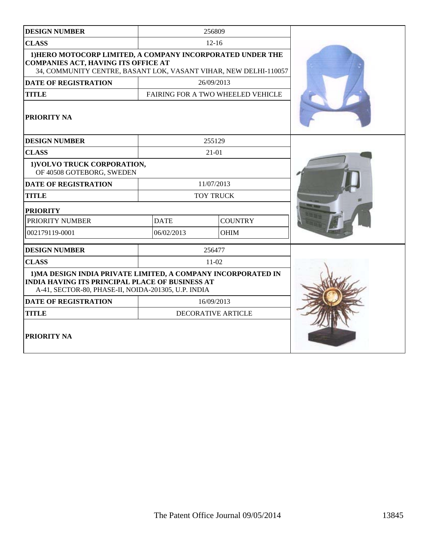| <b>DESIGN NUMBER</b>                                                                                                                                                           |                  | 256809                                   |  |
|--------------------------------------------------------------------------------------------------------------------------------------------------------------------------------|------------------|------------------------------------------|--|
| <b>CLASS</b>                                                                                                                                                                   |                  | $12 - 16$                                |  |
| 1) HERO MOTOCORP LIMITED, A COMPANY INCORPORATED UNDER THE<br><b>COMPANIES ACT, HAVING ITS OFFICE AT</b><br>34, COMMUNITY CENTRE, BASANT LOK, VASANT VIHAR, NEW DELHI-110057   |                  |                                          |  |
| <b>DATE OF REGISTRATION</b>                                                                                                                                                    |                  | 26/09/2013                               |  |
| <b>TITLE</b>                                                                                                                                                                   |                  | <b>FAIRING FOR A TWO WHEELED VEHICLE</b> |  |
| PRIORITY NA                                                                                                                                                                    |                  |                                          |  |
| <b>DESIGN NUMBER</b>                                                                                                                                                           |                  | 255129                                   |  |
| <b>CLASS</b>                                                                                                                                                                   |                  | $21 - 01$                                |  |
| 1) VOLVO TRUCK CORPORATION,<br>OF 40508 GOTEBORG, SWEDEN                                                                                                                       |                  |                                          |  |
| <b>DATE OF REGISTRATION</b>                                                                                                                                                    |                  | 11/07/2013                               |  |
| <b>TITLE</b>                                                                                                                                                                   | <b>TOY TRUCK</b> |                                          |  |
| <b>PRIORITY</b>                                                                                                                                                                |                  |                                          |  |
| PRIORITY NUMBER                                                                                                                                                                | <b>DATE</b>      | <b>COUNTRY</b>                           |  |
| 002179119-0001                                                                                                                                                                 | 06/02/2013       | <b>OHIM</b>                              |  |
| <b>DESIGN NUMBER</b>                                                                                                                                                           |                  | 256477                                   |  |
| <b>CLASS</b>                                                                                                                                                                   |                  | $11-02$                                  |  |
| 1) MA DESIGN INDIA PRIVATE LIMITED, A COMPANY INCORPORATED IN<br><b>INDIA HAVING ITS PRINCIPAL PLACE OF BUSINESS AT</b><br>A-41, SECTOR-80, PHASE-II, NOIDA-201305, U.P. INDIA |                  |                                          |  |
| <b>DATE OF REGISTRATION</b>                                                                                                                                                    |                  | 16/09/2013                               |  |
| <b>TITLE</b>                                                                                                                                                                   |                  | <b>DECORATIVE ARTICLE</b>                |  |
| <b>PRIORITY NA</b>                                                                                                                                                             |                  |                                          |  |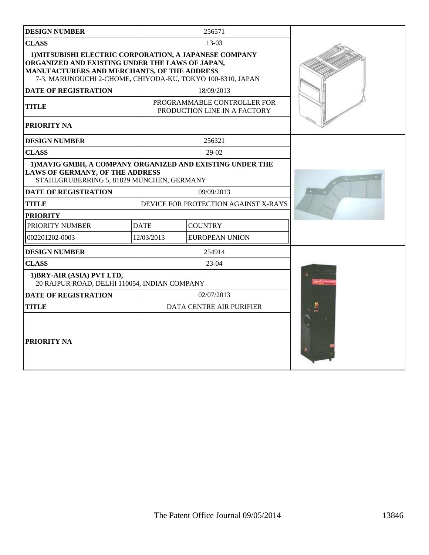| <b>DESIGN NUMBER</b>                                                                                                                                                                                                   |                                      | 256571                                                      |  |
|------------------------------------------------------------------------------------------------------------------------------------------------------------------------------------------------------------------------|--------------------------------------|-------------------------------------------------------------|--|
| <b>CLASS</b>                                                                                                                                                                                                           |                                      | $13-03$                                                     |  |
| 1) MITSUBISHI ELECTRIC CORPORATION, A JAPANESE COMPANY<br>ORGANIZED AND EXISTING UNDER THE LAWS OF JAPAN,<br>MANUFACTURERS AND MERCHANTS, OF THE ADDRESS<br>7-3, MARUNOUCHI 2-CHOME, CHIYODA-KU, TOKYO 100-8310, JAPAN |                                      |                                                             |  |
| <b>DATE OF REGISTRATION</b>                                                                                                                                                                                            |                                      | 18/09/2013                                                  |  |
| <b>TITLE</b>                                                                                                                                                                                                           |                                      | PROGRAMMABLE CONTROLLER FOR<br>PRODUCTION LINE IN A FACTORY |  |
| PRIORITY NA                                                                                                                                                                                                            |                                      |                                                             |  |
| <b>DESIGN NUMBER</b>                                                                                                                                                                                                   |                                      | 256321                                                      |  |
| <b>CLASS</b>                                                                                                                                                                                                           |                                      | 29-02                                                       |  |
| 1) MAVIG GMBH, A COMPANY ORGANIZED AND EXISTING UNDER THE<br><b>LAWS OF GERMANY, OF THE ADDRESS</b><br>STAHLGRUBERRING 5, 81829 MÜNCHEN, GERMANY                                                                       |                                      |                                                             |  |
| <b>DATE OF REGISTRATION</b>                                                                                                                                                                                            |                                      | 09/09/2013                                                  |  |
| <b>TITLE</b>                                                                                                                                                                                                           | DEVICE FOR PROTECTION AGAINST X-RAYS |                                                             |  |
|                                                                                                                                                                                                                        | <b>PRIORITY</b>                      |                                                             |  |
| PRIORITY NUMBER                                                                                                                                                                                                        | <b>DATE</b>                          | <b>COUNTRY</b>                                              |  |
| 002201202-0003                                                                                                                                                                                                         | 12/03/2013                           | <b>EUROPEAN UNION</b>                                       |  |
| <b>DESIGN NUMBER</b>                                                                                                                                                                                                   |                                      | 254914                                                      |  |
| <b>CLASS</b>                                                                                                                                                                                                           |                                      | 23-04                                                       |  |
| 1) BRY-AIR (ASIA) PVT LTD,<br>20 RAJPUR ROAD, DELHI 110054, INDIAN COMPANY                                                                                                                                             |                                      |                                                             |  |
| <b>DATE OF REGISTRATION</b>                                                                                                                                                                                            |                                      | 02/07/2013                                                  |  |
| <b>TITLE</b>                                                                                                                                                                                                           |                                      | <b>DATA CENTRE AIR PURIFIER</b>                             |  |
| PRIORITY NA                                                                                                                                                                                                            |                                      |                                                             |  |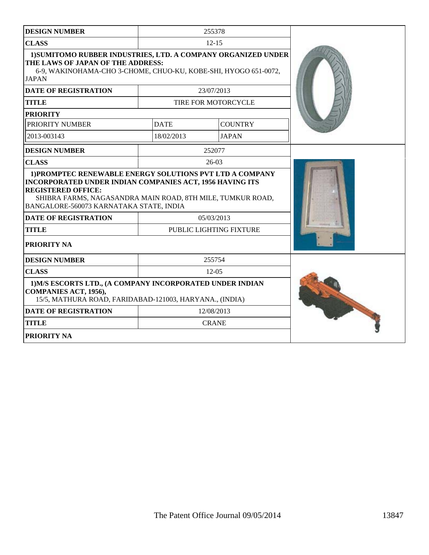| <b>DESIGN NUMBER</b>                                                                                                                                                                                                                                              |             | 255378                  |  |
|-------------------------------------------------------------------------------------------------------------------------------------------------------------------------------------------------------------------------------------------------------------------|-------------|-------------------------|--|
| <b>CLASS</b>                                                                                                                                                                                                                                                      |             | $12 - 15$               |  |
| 1) SUMITOMO RUBBER INDUSTRIES, LTD. A COMPANY ORGANIZED UNDER<br>THE LAWS OF JAPAN OF THE ADDRESS:<br>6-9, WAKINOHAMA-CHO 3-CHOME, CHUO-KU, KOBE-SHI, HYOGO 651-0072,<br><b>JAPAN</b>                                                                             |             |                         |  |
| <b>DATE OF REGISTRATION</b>                                                                                                                                                                                                                                       |             | 23/07/2013              |  |
| <b>TITLE</b>                                                                                                                                                                                                                                                      |             | TIRE FOR MOTORCYCLE     |  |
| <b>PRIORITY</b>                                                                                                                                                                                                                                                   |             |                         |  |
| PRIORITY NUMBER                                                                                                                                                                                                                                                   | <b>DATE</b> | <b>COUNTRY</b>          |  |
| 2013-003143                                                                                                                                                                                                                                                       | 18/02/2013  | <b>JAPAN</b>            |  |
| <b>DESIGN NUMBER</b>                                                                                                                                                                                                                                              |             | 252077                  |  |
| <b>CLASS</b>                                                                                                                                                                                                                                                      |             | $26-03$                 |  |
| 1) PROMPTEC RENEWABLE ENERGY SOLUTIONS PVT LTD A COMPANY<br><b>INCORPORATED UNDER INDIAN COMPANIES ACT, 1956 HAVING ITS</b><br><b>REGISTERED OFFICE:</b><br>SHIBRA FARMS, NAGASANDRA MAIN ROAD, 8TH MILE, TUMKUR ROAD,<br>BANGALORE-560073 KARNATAKA STATE, INDIA |             |                         |  |
| <b>DATE OF REGISTRATION</b>                                                                                                                                                                                                                                       |             | 05/03/2013              |  |
| <b>TITLE</b>                                                                                                                                                                                                                                                      |             | PUBLIC LIGHTING FIXTURE |  |
| <b>PRIORITY NA</b>                                                                                                                                                                                                                                                |             |                         |  |
| <b>DESIGN NUMBER</b>                                                                                                                                                                                                                                              |             | 255754                  |  |
| <b>CLASS</b>                                                                                                                                                                                                                                                      |             | $12 - 05$               |  |
| 1) M/S ESCORTS LTD., (A COMPANY INCORPORATED UNDER INDIAN<br>COMPANIES ACT, 1956),<br>15/5, MATHURA ROAD, FARIDABAD-121003, HARYANA., (INDIA)                                                                                                                     |             |                         |  |
| <b>DATE OF REGISTRATION</b>                                                                                                                                                                                                                                       |             | 12/08/2013              |  |
| <b>TITLE</b>                                                                                                                                                                                                                                                      |             | <b>CRANE</b>            |  |
| <b>PRIORITY NA</b>                                                                                                                                                                                                                                                |             |                         |  |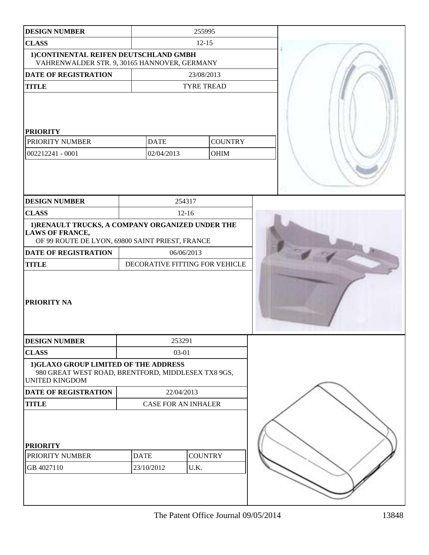| <b>DESIGN NUMBER</b>                                                                                                          | 255995                         |                               |  |
|-------------------------------------------------------------------------------------------------------------------------------|--------------------------------|-------------------------------|--|
| <b>CLASS</b>                                                                                                                  |                                | $12 - 15$                     |  |
| 1) CONTINENTAL REIFEN DEUTSCHLAND GMBH<br>VAHRENWALDER STR. 9, 30165 HANNOVER, GERMANY                                        |                                |                               |  |
| DATE OF REGISTRATION                                                                                                          |                                | 23/08/2013                    |  |
| <b>TITLE</b>                                                                                                                  |                                | <b>TYRE TREAD</b>             |  |
| <b>PRIORITY</b><br>PRIORITY NUMBER<br>002212241 - 0001                                                                        | <b>DATE</b><br>02/04/2013      | <b>COUNTRY</b><br><b>OHIM</b> |  |
| <b>DESIGN NUMBER</b>                                                                                                          |                                | 254317                        |  |
| <b>CLASS</b>                                                                                                                  |                                | $12 - 16$                     |  |
| 1) RENAULT TRUCKS, A COMPANY ORGANIZED UNDER THE<br><b>LAWS OF FRANCE,</b><br>OF 99 ROUTE DE LYON, 69800 SAINT PRIEST, FRANCE |                                |                               |  |
| DATE OF REGISTRATION                                                                                                          | 06/06/2013                     |                               |  |
| <b>TITLE</b>                                                                                                                  | DECORATIVE FITTING FOR VEHICLE |                               |  |
| PRIORITY NA                                                                                                                   |                                |                               |  |
| <b>DESIGN NUMBER</b>                                                                                                          |                                | 253291                        |  |
| <b>CLASS</b>                                                                                                                  |                                | 03-01                         |  |
| 1)GLAXO GROUP LIMITED OF THE ADDRESS<br>980 GREAT WEST ROAD, BRENTFORD, MIDDLESEX TX8 9GS,<br><b>UNITED KINGDOM</b>           |                                |                               |  |
| <b>DATE OF REGISTRATION</b>                                                                                                   |                                | 22/04/2013                    |  |
| <b>TITLE</b>                                                                                                                  | <b>CASE FOR AN INHALER</b>     |                               |  |
| <b>PRIORITY</b><br>PRIORITY NUMBER<br>GB 4027110                                                                              | <b>DATE</b><br>23/10/2012      | <b>COUNTRY</b><br>U.K.        |  |
|                                                                                                                               |                                |                               |  |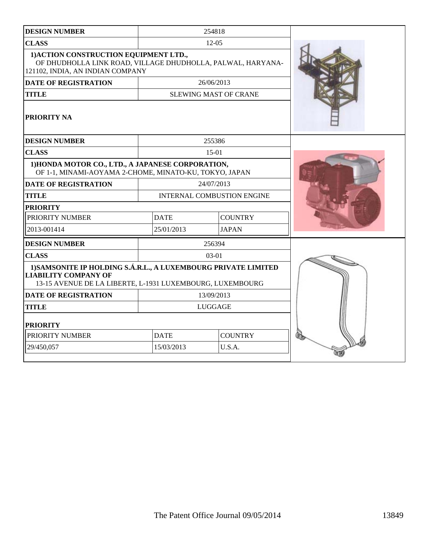| <b>DESIGN NUMBER</b>                                                                                                                                       |             | 254818                            |  |
|------------------------------------------------------------------------------------------------------------------------------------------------------------|-------------|-----------------------------------|--|
| <b>CLASS</b>                                                                                                                                               |             | $12-0.5$                          |  |
| 1) ACTION CONSTRUCTION EQUIPMENT LTD.,<br>OF DHUDHOLLA LINK ROAD, VILLAGE DHUDHOLLA, PALWAL, HARYANA-<br>121102, INDIA, AN INDIAN COMPANY                  |             |                                   |  |
| <b>DATE OF REGISTRATION</b>                                                                                                                                |             | 26/06/2013                        |  |
| <b>TITLE</b>                                                                                                                                               |             | <b>SLEWING MAST OF CRANE</b>      |  |
| <b>PRIORITY NA</b>                                                                                                                                         |             |                                   |  |
| <b>DESIGN NUMBER</b>                                                                                                                                       |             | 255386                            |  |
| <b>CLASS</b>                                                                                                                                               |             | $15-01$                           |  |
| 1) HONDA MOTOR CO., LTD., A JAPANESE CORPORATION,<br>OF 1-1, MINAMI-AOYAMA 2-CHOME, MINATO-KU, TOKYO, JAPAN                                                |             |                                   |  |
| <b>DATE OF REGISTRATION</b>                                                                                                                                |             | 24/07/2013                        |  |
| <b>TITLE</b>                                                                                                                                               |             | <b>INTERNAL COMBUSTION ENGINE</b> |  |
| <b>PRIORITY</b>                                                                                                                                            |             |                                   |  |
| PRIORITY NUMBER                                                                                                                                            | <b>DATE</b> | <b>COUNTRY</b>                    |  |
| 2013-001414                                                                                                                                                | 25/01/2013  | <b>JAPAN</b>                      |  |
| <b>DESIGN NUMBER</b>                                                                                                                                       |             | 256394                            |  |
| <b>CLASS</b>                                                                                                                                               |             | 03-01                             |  |
| 1) SAMSONITE IP HOLDING S.Á.R.L., A LUXEMBOURG PRIVATE LIMITED<br><b>LIABILITY COMPANY OF</b><br>13-15 AVENUE DE LA LIBERTE, L-1931 LUXEMBOURG, LUXEMBOURG |             |                                   |  |
| <b>DATE OF REGISTRATION</b>                                                                                                                                |             | 13/09/2013                        |  |
| <b>TITLE</b>                                                                                                                                               |             | LUGGAGE                           |  |
| <b>PRIORITY</b>                                                                                                                                            |             |                                   |  |
| PRIORITY NUMBER                                                                                                                                            | <b>DATE</b> | <b>COUNTRY</b>                    |  |
| 29/450,057                                                                                                                                                 | 15/03/2013  | U.S.A.                            |  |
|                                                                                                                                                            |             |                                   |  |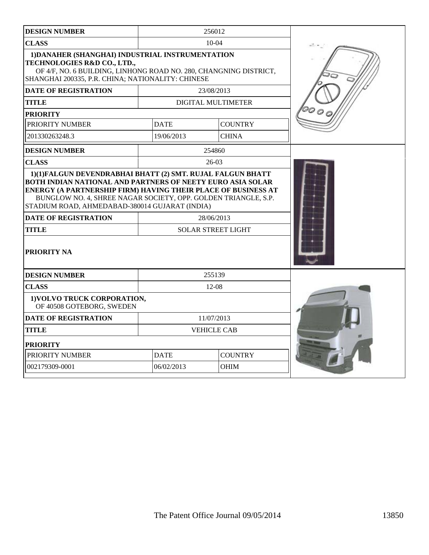| <b>DESIGN NUMBER</b>                                                                                                                                                                                                                                          |             | 256012                                  |  |
|---------------------------------------------------------------------------------------------------------------------------------------------------------------------------------------------------------------------------------------------------------------|-------------|-----------------------------------------|--|
| <b>CLASS</b>                                                                                                                                                                                                                                                  |             | $10-04$                                 |  |
| 1) DANAHER (SHANGHAI) INDUSTRIAL INSTRUMENTATION<br>TECHNOLOGIES R&D CO., LTD.,<br>OF 4/F, NO. 6 BUILDING, LINHONG ROAD NO. 280, CHANGNING DISTRICT,<br>SHANGHAI 200335, P.R. CHINA; NATIONALITY: CHINESE                                                     |             |                                         |  |
| <b>DATE OF REGISTRATION</b>                                                                                                                                                                                                                                   |             | 23/08/2013                              |  |
| <b>TITLE</b>                                                                                                                                                                                                                                                  |             | DIGITAL MULTIMETER                      |  |
| <b>PRIORITY</b>                                                                                                                                                                                                                                               |             |                                         |  |
| PRIORITY NUMBER                                                                                                                                                                                                                                               | <b>DATE</b> | <b>COUNTRY</b>                          |  |
| 201330263248.3                                                                                                                                                                                                                                                | 19/06/2013  | <b>CHINA</b>                            |  |
| <b>DESIGN NUMBER</b>                                                                                                                                                                                                                                          |             | 254860                                  |  |
| <b>CLASS</b>                                                                                                                                                                                                                                                  |             | $26-03$                                 |  |
| <b>ENERGY (A PARTNERSHIP FIRM) HAVING THEIR PLACE OF BUSINESS AT</b><br>BUNGLOW NO. 4, SHREE NAGAR SOCIETY, OPP. GOLDEN TRIANGLE, S.P.<br>STADIUM ROAD, AHMEDABAD-380014 GUJARAT (INDIA)<br><b>DATE OF REGISTRATION</b><br><b>TITLE</b><br><b>PRIORITY NA</b> |             | 28/06/2013<br><b>SOLAR STREET LIGHT</b> |  |
| <b>DESIGN NUMBER</b>                                                                                                                                                                                                                                          |             | 255139                                  |  |
| <b>CLASS</b>                                                                                                                                                                                                                                                  |             | $12 - 08$                               |  |
| 1) VOLVO TRUCK CORPORATION,<br>OF 40508 GOTEBORG, SWEDEN                                                                                                                                                                                                      |             |                                         |  |
| <b>DATE OF REGISTRATION</b>                                                                                                                                                                                                                                   |             | 11/07/2013                              |  |
| <b>TITLE</b>                                                                                                                                                                                                                                                  |             | <b>VEHICLE CAB</b>                      |  |
| <b>PRIORITY</b>                                                                                                                                                                                                                                               |             |                                         |  |
| PRIORITY NUMBER                                                                                                                                                                                                                                               | <b>DATE</b> | <b>COUNTRY</b>                          |  |
| 002179309-0001                                                                                                                                                                                                                                                | 06/02/2013  | <b>OHIM</b>                             |  |